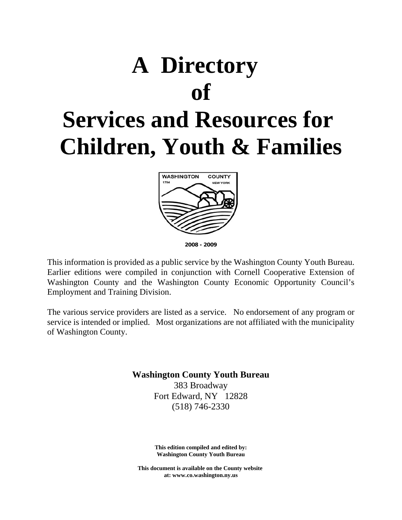



**2008 - 2009**

This information is provided as a public service by the Washington County Youth Bureau. Earlier editions were compiled in conjunction with Cornell Cooperative Extension of Washington County and the Washington County Economic Opportunity Council's Employment and Training Division.

The various service providers are listed as a service. No endorsement of any program or service is intended or implied. Most organizations are not affiliated with the municipality of Washington County.

**Washington County Youth Bureau**

383 Broadway Fort Edward, NY 12828 (518) 746-2330

**This edition compiled and edited by: Washington County Youth Bureau**

**This document is available on the County website at: www.co.washington.ny.us**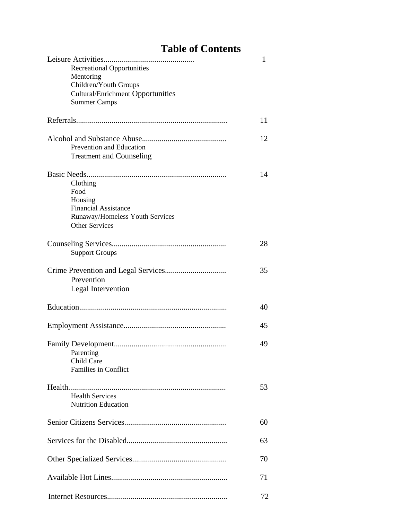# **Table of Contents**

|                                          | 1  |
|------------------------------------------|----|
| <b>Recreational Opportunities</b>        |    |
| Mentoring                                |    |
| Children/Youth Groups                    |    |
| <b>Cultural/Enrichment Opportunities</b> |    |
| <b>Summer Camps</b>                      |    |
|                                          | 11 |
|                                          | 12 |
| Prevention and Education                 |    |
| <b>Treatment and Counseling</b>          |    |
|                                          |    |
|                                          | 14 |
| Clothing<br>Food                         |    |
| Housing                                  |    |
| <b>Financial Assistance</b>              |    |
| Runaway/Homeless Youth Services          |    |
| <b>Other Services</b>                    |    |
|                                          |    |
|                                          | 28 |
| <b>Support Groups</b>                    |    |
|                                          | 35 |
| Prevention                               |    |
|                                          |    |
| Legal Intervention                       |    |
|                                          | 40 |
|                                          | 45 |
|                                          | 49 |
| Parenting                                |    |
| Child Care                               |    |
| <b>Families in Conflict</b>              |    |
|                                          | 53 |
| <b>Health Services</b>                   |    |
| <b>Nutrition Education</b>               |    |
|                                          |    |
|                                          | 60 |
|                                          |    |
|                                          | 63 |
|                                          | 70 |
|                                          |    |
|                                          | 71 |
|                                          |    |
|                                          | 72 |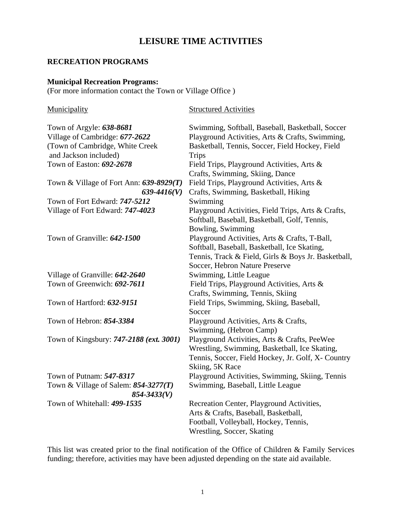# **LEISURE TIME ACTIVITIES**

#### **RECREATION PROGRAMS**

#### **Municipal Recreation Programs:**

(For more information contact the Town or Village Office )

| Municipality                            | <b>Structured Activities</b>                        |
|-----------------------------------------|-----------------------------------------------------|
| Town of Argyle: 638-8681                | Swimming, Softball, Baseball, Basketball, Soccer    |
| Village of Cambridge: 677-2622          | Playground Activities, Arts & Crafts, Swimming,     |
| (Town of Cambridge, White Creek         | Basketball, Tennis, Soccer, Field Hockey, Field     |
| and Jackson included)                   | <b>Trips</b>                                        |
| Town of Easton: 692-2678                | Field Trips, Playground Activities, Arts &          |
|                                         | Crafts, Swimming, Skiing, Dance                     |
| Town & Village of Fort Ann: 639-8929(T) | Field Trips, Playground Activities, Arts &          |
| $639 - 4416(V)$                         | Crafts, Swimming, Basketball, Hiking                |
| Town of Fort Edward: 747-5212           | Swimming                                            |
| Village of Fort Edward: 747-4023        | Playground Activities, Field Trips, Arts & Crafts,  |
|                                         | Softball, Baseball, Basketball, Golf, Tennis,       |
|                                         | Bowling, Swimming                                   |
| Town of Granville: 642-1500             | Playground Activities, Arts & Crafts, T-Ball,       |
|                                         | Softball, Baseball, Basketball, Ice Skating,        |
|                                         | Tennis, Track & Field, Girls & Boys Jr. Basketball, |
|                                         | Soccer, Hebron Nature Preserve                      |
| Village of Granville: 642-2640          | Swimming, Little League                             |
| Town of Greenwich: 692-7611             | Field Trips, Playground Activities, Arts &          |
|                                         | Crafts, Swimming, Tennis, Skiing                    |
| Town of Hartford: 632-9151              | Field Trips, Swimming, Skiing, Baseball,            |
|                                         | Soccer                                              |
| Town of Hebron: 854-3384                | Playground Activities, Arts & Crafts,               |
|                                         | Swimming, (Hebron Camp)                             |
| Town of Kingsbury: 747-2188 (ext. 3001) | Playground Activities, Arts & Crafts, PeeWee        |
|                                         | Wrestling, Swimming, Basketball, Ice Skating,       |
|                                         | Tennis, Soccer, Field Hockey, Jr. Golf, X- Country  |
|                                         | Skiing, 5K Race                                     |
| Town of Putnam: 547-8317                | Playground Activities, Swimming, Skiing, Tennis     |
| Town & Village of Salem: $854-3277(T)$  | Swimming, Baseball, Little League                   |
| $854 - 3433(V)$                         |                                                     |
| Town of Whitehall: 499-1535             | Recreation Center, Playground Activities,           |
|                                         | Arts & Crafts, Baseball, Basketball,                |
|                                         | Football, Volleyball, Hockey, Tennis,               |
|                                         | Wrestling, Soccer, Skating                          |

This list was created prior to the final notification of the Office of Children & Family Services funding; therefore, activities may have been adjusted depending on the state aid available.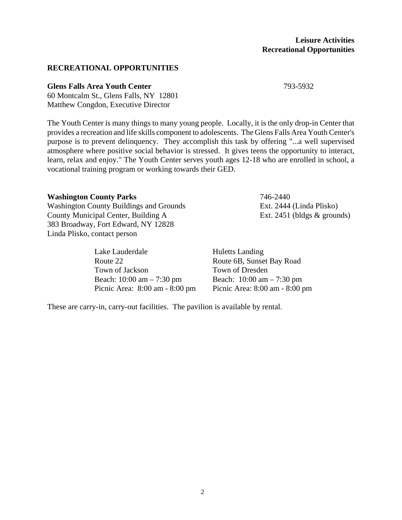#### **RECREATIONAL OPPORTUNITIES**

#### **Glens Falls Area Youth Center** 793-5932

60 Montcalm St., Glens Falls, NY 12801 Matthew Congdon, Executive Director

The Youth Center is many things to many young people. Locally, it is the only drop-in Center that provides a recreation and life skills component to adolescents. The Glens Falls Area Youth Center's purpose is to prevent delinquency. They accomplish this task by offering "...a well supervised atmosphere where positive social behavior is stressed. It gives teens the opportunity to interact, learn, relax and enjoy." The Youth Center serves youth ages 12-18 who are enrolled in school, a vocational training program or working towards their GED.

**Washington County Parks** 746-2440 Washington County Buildings and Grounds Ext. 2444 (Linda Plisko) County Municipal Center, Building A Ext. 2451 (bldgs & grounds) 383 Broadway, Fort Edward, NY 12828 Linda Plisko, contact person

> Lake Lauderdale Huletts Landing Route 22 Route 6B, Sunset Bay Road Town of Jackson Town of Dresden Beach: 10:00 am – 7:30 pm Beach: 10:00 am – 7:30 pm Picnic Area: 8:00 am - 8:00 pm Picnic Area: 8:00 am - 8:00 pm

These are carry-in, carry-out facilities. The pavilion is available by rental.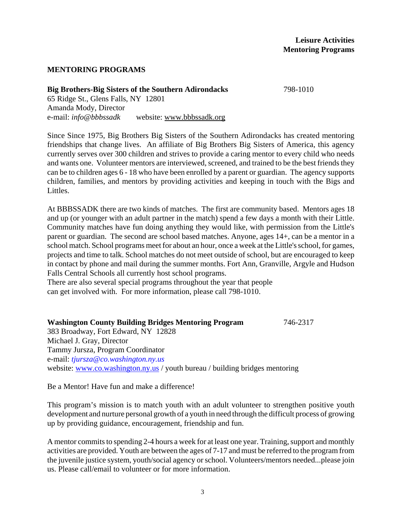#### **MENTORING PROGRAMS**

# **Big Brothers-Big Sisters of the Southern Adirondacks** 798-1010

65 Ridge St., Glens Falls, NY 12801 Amanda Mody, Director e-mail: *info@bbbssadk* website: www.bbbssadk.org

Since Since 1975, Big Brothers Big Sisters of the Southern Adirondacks has created mentoring friendships that change lives. An affiliate of Big Brothers Big Sisters of America, this agency currently serves over 300 children and strives to provide a caring mentor to every child who needs and wants one. Volunteer mentors are interviewed, screened, and trained to be the best friends they can be to children ages 6 - 18 who have been enrolled by a parent or guardian. The agency supports children, families, and mentors by providing activities and keeping in touch with the Bigs and Littles.

At BBBSSADK there are two kinds of matches. The first are community based. Mentors ages 18 and up (or younger with an adult partner in the match) spend a few days a month with their Little. Community matches have fun doing anything they would like, with permission from the Little's parent or guardian. The second are school based matches. Anyone, ages 14+, can be a mentor in a school match. School programs meet for about an hour, once a week at the Little's school, for games, projects and time to talk. School matches do not meet outside of school, but are encouraged to keep in contact by phone and mail during the summer months. Fort Ann, Granville, Argyle and Hudson Falls Central Schools all currently host school programs.

There are also several special programs throughout the year that people can get involved with. For more information, please call 798-1010.

**Washington County Building Bridges Mentoring Program** 746-2317 383 Broadway, Fort Edward, NY 12828 Michael J. Gray, Director Tammy Jursza, Program Coordinator e-mail: *tjursza@co.washington.ny.us* website: www.co.washington.ny.us / youth bureau / building bridges mentoring

Be a Mentor! Have fun and make a difference!

This program's mission is to match youth with an adult volunteer to strengthen positive youth development and nurture personal growth of a youth in need through the difficult process of growing up by providing guidance, encouragement, friendship and fun.

A mentor commits to spending 2-4 hours a week for at least one year. Training, support and monthly activities are provided. Youth are between the ages of 7-17 and must be referred to the program from the juvenile justice system, youth/social agency or school. Volunteers/mentors needed...please join us. Please call/email to volunteer or for more information.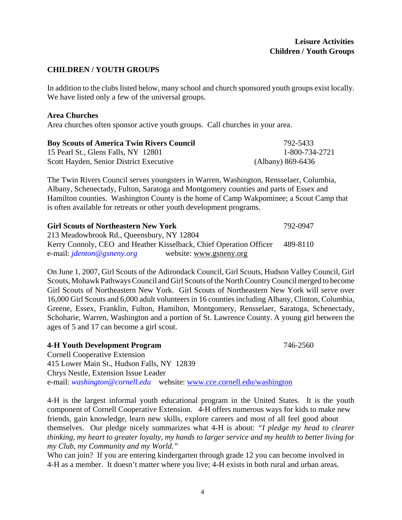#### **CHILDREN / YOUTH GROUPS**

In addition to the clubs listed below, many school and church sponsored youth groups exist locally. We have listed only a few of the universal groups.

#### **Area Churches**

Area churches often sponsor active youth groups. Call churches in your area.

| <b>Boy Scouts of America Twin Rivers Council</b> | 792-5433          |
|--------------------------------------------------|-------------------|
| 15 Pearl St., Glens Falls, NY 12801              | 1-800-734-2721    |
| Scott Hayden, Senior District Executive          | (Albany) 869-6436 |

The Twin Rivers Council serves youngsters in Warren, Washington, Rensselaer, Columbia, Albany, Schenectady, Fulton, Saratoga and Montgomery counties and parts of Essex and Hamilton counties. Washington County is the home of Camp Wakpominee; a Scout Camp that is often available for retreats or other youth development programs.

| <b>Girl Scouts of Northeastern New York</b>                        | 792-0947 |
|--------------------------------------------------------------------|----------|
| 213 Meadowbrook Rd., Queensbury, NY 12804                          |          |
| Kerry Connoly, CEO and Heather Kisselback, Chief Operation Officer | 489-8110 |
| e-mail: <i>identon@gsneny.org</i><br>website: www.gsneny.org       |          |

On June 1, 2007, Girl Scouts of the Adirondack Council, Girl Scouts, Hudson Valley Council, Girl Scouts, Mohawk Pathways Council and Girl Scouts of the North Country Council merged to become Girl Scouts of Northeastern New York. Girl Scouts of Northeastern New York will serve over 16,000 Girl Scouts and 6,000 adult volunteers in 16 counties including Albany, Clinton, Columbia, Greene, Essex, Franklin, Fulton, Hamilton, Montgomery, Rensselaer, Saratoga, Schenectady, Schoharie, Warren, Washington and a portion of St. Lawrence County. A young girl between the ages of 5 and 17 can become a girl scout.

**4-H Youth Development Program** 746-2560 Cornell Cooperative Extension 415 Lower Main St., Hudson Falls, NY 12839 Chrys Nestle, Extension Issue Leader e-mail: *washington@cornell.edu* website: www.cce.cornell.edu/washington

4-H is the largest informal youth educational program in the United States. It is the youth component of Cornell Cooperative Extension. 4-H offers numerous ways for kids to make new friends, gain knowledge, learn new skills, explore careers and most of all feel good about themselves. Our pledge nicely summarizes what 4-H is about: *"I pledge my head to clearer thinking, my heart to greater loyalty, my hands to larger service and my health to better living for my Club, my Community and my World."*

Who can join? If you are entering kindergarten through grade 12 you can become involved in 4-H as a member. It doesn't matter where you live; 4-H exists in both rural and urban areas.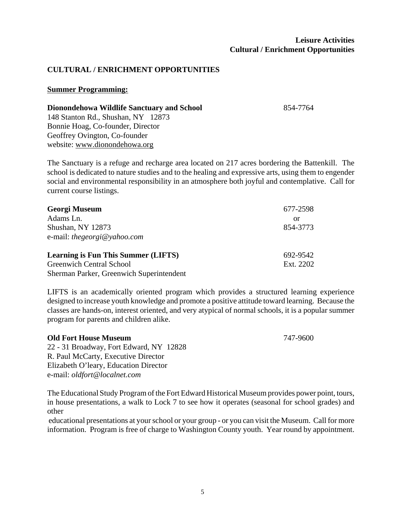#### **CULTURAL / ENRICHMENT OPPORTUNITIES**

#### **Summer Programming:**

#### **Dionondehowa Wildlife Sanctuary and School** 854-7764

148 Stanton Rd., Shushan, NY 12873 Bonnie Hoag, Co-founder, Director Geoffrey Ovington, Co-founder website: www.dionondehowa.org

The Sanctuary is a refuge and recharge area located on 217 acres bordering the Battenkill. The school is dedicated to nature studies and to the healing and expressive arts, using them to engender social and environmental responsibility in an atmosphere both joyful and contemplative. Call for current course listings.

| Georgi Museum                              | 677-2598  |
|--------------------------------------------|-----------|
| Adams Ln.                                  | or        |
| Shushan, NY 12873                          | 854-3773  |
| e-mail: the georgi@yahoo.com               |           |
| <b>Learning is Fun This Summer (LIFTS)</b> | 692-9542  |
| <b>Greenwich Central School</b>            | Ext. 2202 |
| Sherman Parker, Greenwich Superintendent   |           |

LIFTS is an academically oriented program which provides a structured learning experience designed to increase youth knowledge and promote a positive attitude toward learning. Because the classes are hands-on, interest oriented, and very atypical of normal schools, it is a popular summer program for parents and children alike.

| <b>Old Fort House Museum</b>            | 747-9600 |
|-----------------------------------------|----------|
| 22 - 31 Broadway, Fort Edward, NY 12828 |          |
| R. Paul McCarty, Executive Director     |          |
| Elizabeth O'leary, Education Director   |          |
| e-mail: <i>oldfort</i> @localnet.com    |          |

The Educational Study Program of the Fort Edward Historical Museum provides power point, tours, in house presentations, a walk to Lock 7 to see how it operates (seasonal for school grades) and other

 educational presentations at your school or your group - or you can visit the Museum. Call for more information. Program is free of charge to Washington County youth. Year round by appointment.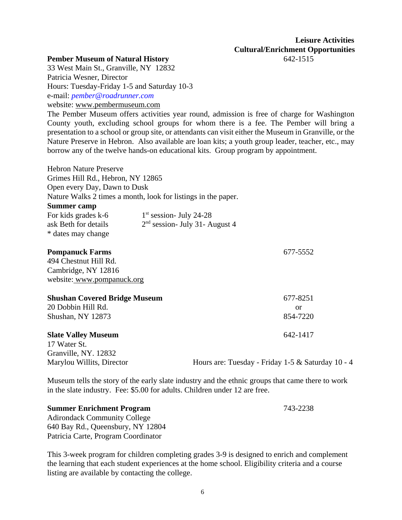# **Leisure Activities Cultural/Enrichment Opportunities**

#### **Pember Museum of Natural History** 642-1515

33 West Main St., Granville, NY 12832 Patricia Wesner, Director Hours: Tuesday-Friday 1-5 and Saturday 10-3 e-mail: *pember@roadrunner.com* website: www.pembermuseum.com

The Pember Museum offers activities year round, admission is free of charge for Washington County youth, excluding school groups for whom there is a fee. The Pember will bring a presentation to a school or group site, or attendants can visit either the Museum in Granville, or the Nature Preserve in Hebron. Also available are loan kits; a youth group leader, teacher, etc., may borrow any of the twelve hands-on educational kits. Group program by appointment.

| <b>Hebron Nature Preserve</b>                                 |                                                   |
|---------------------------------------------------------------|---------------------------------------------------|
| Grimes Hill Rd., Hebron, NY 12865                             |                                                   |
| Open every Day, Dawn to Dusk                                  |                                                   |
| Nature Walks 2 times a month, look for listings in the paper. |                                                   |
| Summer camp                                                   |                                                   |
| For kids grades k-6                                           | $1st$ session- July 24-28                         |
| ask Beth for details                                          | $2nd$ session- July 31- August 4                  |
| * dates may change                                            |                                                   |
| <b>Pompanuck Farms</b>                                        | 677-5552                                          |
| 494 Chestnut Hill Rd.                                         |                                                   |
| Cambridge, NY 12816                                           |                                                   |
| website: www.pompanuck.org                                    |                                                   |
| <b>Shushan Covered Bridge Museum</b>                          | 677-8251                                          |
| 20 Dobbin Hill Rd.                                            | or                                                |
| Shushan, NY 12873                                             | 854-7220                                          |
| <b>Slate Valley Museum</b>                                    | 642-1417                                          |
| 17 Water St.                                                  |                                                   |
| Granville, NY. 12832                                          |                                                   |
| Marylou Willits, Director                                     | Hours are: Tuesday - Friday 1-5 & Saturday 10 - 4 |

Museum tells the story of the early slate industry and the ethnic groups that came there to work in the slate industry. Fee: \$5.00 for adults. Children under 12 are free.

#### **Summer Enrichment Program** 743-2238

Adirondack Community College 640 Bay Rd., Queensbury, NY 12804 Patricia Carte, Program Coordinator

This 3-week program for children completing grades 3-9 is designed to enrich and complement the learning that each student experiences at the home school. Eligibility criteria and a course listing are available by contacting the college.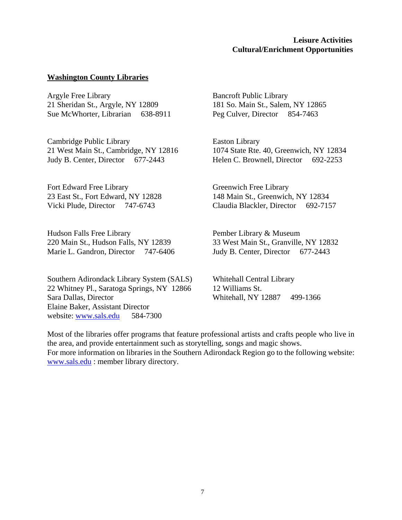#### **Washington County Libraries**

Argyle Free Library Bancroft Public Library 21 Sheridan St., Argyle, NY 12809 181 So. Main St., Salem, NY 12865 Sue McWhorter, Librarian 638-8911 Peg Culver, Director 854-7463

Cambridge Public Library Easton Library Judy B. Center, Director 677-2443 Helen C. Brownell, Director 692-2253

Fort Edward Free Library Greenwich Free Library

Hudson Falls Free Library **Pember Library & Museum** 220 Main St., Hudson Falls, NY 12839 33 West Main St., Granville, NY 12832 Marie L. Gandron, Director 747-6406 Judy B. Center, Director 677-2443

Southern Adirondack Library System (SALS) Whitehall Central Library 22 Whitney Pl., Saratoga Springs, NY 12866 12 Williams St. Sara Dallas, Director Whitehall, NY 12887 499-1366 Elaine Baker, Assistant Director website: www.sals.edu 584-7300

21 West Main St., Cambridge, NY 12816 1074 State Rte. 40, Greenwich, NY 12834

23 East St., Fort Edward, NY 12828 148 Main St., Greenwich, NY 12834 Vicki Plude, Director 747-6743 Claudia Blackler, Director 692-7157

Most of the libraries offer programs that feature professional artists and crafts people who live in the area, and provide entertainment such as storytelling, songs and magic shows. For more information on libraries in the Southern Adirondack Region go to the following website: www.sals.edu : member library directory.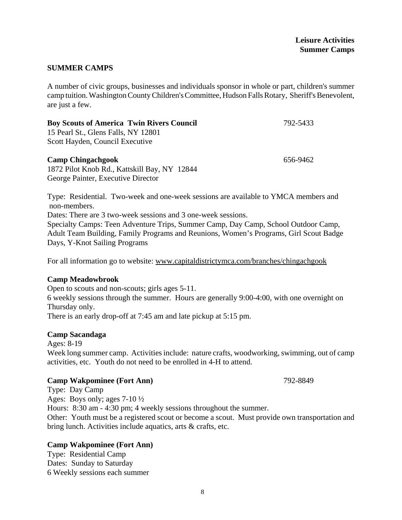#### **SUMMER CAMPS**

A number of civic groups, businesses and individuals sponsor in whole or part, children's summer camp tuition. Washington County Children's Committee, Hudson Falls Rotary, Sheriff's Benevolent, are just a few.

| <b>Boy Scouts of America Twin Rivers Council</b> | 792-5433 |
|--------------------------------------------------|----------|
| 15 Pearl St., Glens Falls, NY 12801              |          |
| Scott Hayden, Council Executive                  |          |
|                                                  |          |
| <b>Camp Chingachgook</b>                         | 656-9462 |

1872 Pilot Knob Rd., Kattskill Bay, NY 12844 George Painter, Executive Director

Type: Residential. Two-week and one-week sessions are available to YMCA members and non-members. Dates: There are 3 two-week sessions and 3 one-week sessions. Specialty Camps: Teen Adventure Trips, Summer Camp, Day Camp, School Outdoor Camp, Adult Team Building, Family Programs and Reunions, Women's Programs, Girl Scout Badge

Days, Y-Knot Sailing Programs

For all information go to website: www.capitaldistrictymca.com/branches/chingachgook

#### **Camp Meadowbrook**

Open to scouts and non-scouts; girls ages 5-11. 6 weekly sessions through the summer. Hours are generally 9:00-4:00, with one overnight on Thursday only. There is an early drop-off at 7:45 am and late pickup at 5:15 pm.

#### **Camp Sacandaga**

Ages: 8-19 Week long summer camp. Activities include: nature crafts, woodworking, swimming, out of camp activities, etc. Youth do not need to be enrolled in 4-H to attend.

#### **Camp Wakpominee (Fort Ann)** 792-8849

Type: Day Camp Ages: Boys only; ages 7-10 ½ Hours: 8:30 am - 4:30 pm; 4 weekly sessions throughout the summer. Other: Youth must be a registered scout or become a scout. Must provide own transportation and bring lunch. Activities include aquatics, arts & crafts, etc.

#### **Camp Wakpominee (Fort Ann)**

Type: Residential Camp Dates: Sunday to Saturday 6 Weekly sessions each summer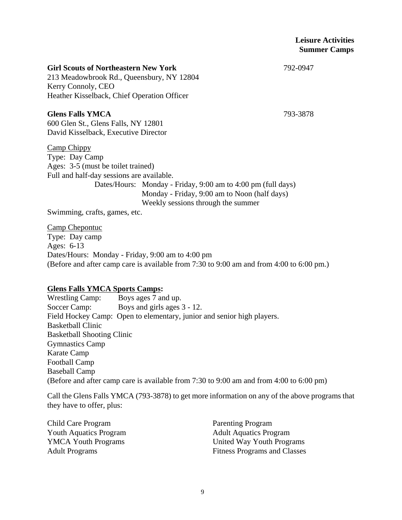#### **Girl Scouts of Northeastern New York** 792-0947

213 Meadowbrook Rd., Queensbury, NY 12804 Kerry Connoly, CEO Heather Kisselback, Chief Operation Officer

**Glens Falls YMCA** 793-3878

600 Glen St., Glens Falls, NY 12801 David Kisselback, Executive Director

Camp Chippy Type: Day Camp Ages: 3-5 (must be toilet trained) Full and half-day sessions are available. Dates/Hours: Monday - Friday, 9:00 am to 4:00 pm (full days) Monday - Friday, 9:00 am to Noon (half days) Weekly sessions through the summer

Swimming, crafts, games, etc.

Camp Chepontuc

Type: Day camp Ages: 6-13 Dates/Hours: Monday - Friday, 9:00 am to 4:00 pm (Before and after camp care is available from 7:30 to 9:00 am and from 4:00 to 6:00 pm.)

#### **Glens Falls YMCA Sports Camps:**

Wrestling Camp: Boys ages 7 and up. Soccer Camp: Boys and girls ages  $3 - 12$ . Field Hockey Camp: Open to elementary, junior and senior high players. Basketball Clinic Basketball Shooting Clinic Gymnastics Camp Karate Camp Football Camp Baseball Camp (Before and after camp care is available from 7:30 to 9:00 am and from 4:00 to 6:00 pm)

Call the Glens Falls YMCA (793-3878) to get more information on any of the above programs that they have to offer, plus:

Child Care Program Parenting Program Youth Aquatics Program Adult Aquatics Program

YMCA Youth Programs United Way Youth Programs Adult Programs **Fitness Programs and Classes**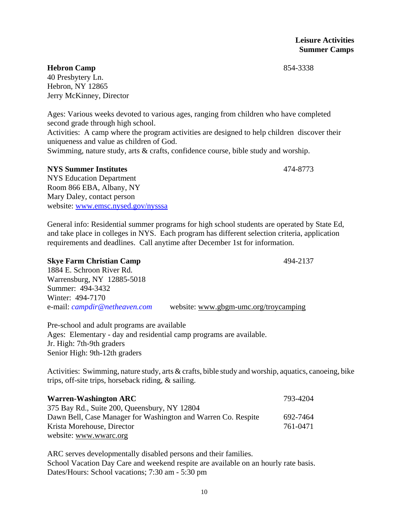10

 **Leisure Activities Summer Camps**

**Hebron Camp** 854-3338

40 Presbytery Ln. Hebron, NY 12865 Jerry McKinney, Director

Ages: Various weeks devoted to various ages, ranging from children who have completed second grade through high school.

Activities: A camp where the program activities are designed to help children discover their uniqueness and value as children of God.

Swimming, nature study, arts & crafts, confidence course, bible study and worship.

#### **NYS Summer Institutes** 474-8773

NYS Education Department Room 866 EBA, Albany, NY Mary Daley, contact person website: www.emsc.nysed.gov/nysssa

General info: Residential summer programs for high school students are operated by State Ed, and take place in colleges in NYS. Each program has different selection criteria, application requirements and deadlines. Call anytime after December 1st for information.

#### **Skye Farm Christian Camp 194-2137**

1884 E. Schroon River Rd. Warrensburg, NY 12885-5018 Summer: 494-3432 Winter: 494-7170 e-mail: *campdir@netheaven.com* website: www.gbgm-umc.org/troycamping

Pre-school and adult programs are available Ages: Elementary - day and residential camp programs are available. Jr. High: 7th-9th graders Senior High: 9th-12th graders

Activities: Swimming, nature study, arts & crafts, bible study and worship, aquatics, canoeing, bike trips, off-site trips, horseback riding, & sailing.

| <b>Warren-Washington ARC</b>                                  | 793-4204 |
|---------------------------------------------------------------|----------|
| 375 Bay Rd., Suite 200, Queensbury, NY 12804                  |          |
| Dawn Bell, Case Manager for Washington and Warren Co. Respite | 692-7464 |
| Krista Morehouse, Director                                    | 761-0471 |
| website: www.wwarc.org                                        |          |

ARC serves developmentally disabled persons and their families. School Vacation Day Care and weekend respite are available on an hourly rate basis. Dates/Hours: School vacations; 7:30 am - 5:30 pm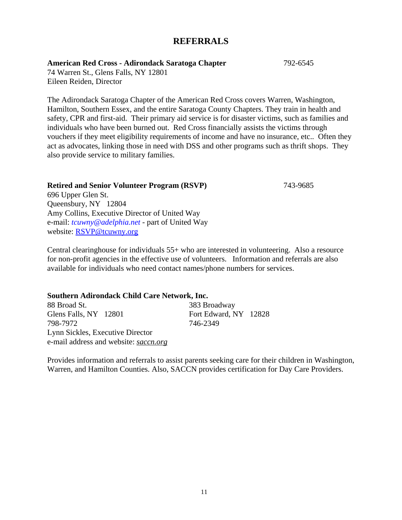# **REFERRALS**

**American Red Cross - Adirondack Saratoga Chapter** 792-6545

74 Warren St., Glens Falls, NY 12801 Eileen Reiden, Director

The Adirondack Saratoga Chapter of the American Red Cross covers Warren, Washington, Hamilton, Southern Essex, and the entire Saratoga County Chapters. They train in health and safety, CPR and first-aid. Their primary aid service is for disaster victims, such as families and individuals who have been burned out. Red Cross financially assists the victims through vouchers if they meet eligibility requirements of income and have no insurance, etc.. Often they act as advocates, linking those in need with DSS and other programs such as thrift shops. They also provide service to military families.

#### **Retired and Senior Volunteer Program (RSVP)** 743-9685

696 Upper Glen St. Queensbury, NY 12804 Amy Collins, Executive Director of United Way e-mail: *tcuwny@adelphia.net* - part of United Way website: RSVP@tcuwny.org

Central clearinghouse for individuals 55+ who are interested in volunteering. Also a resource for non-profit agencies in the effective use of volunteers. Information and referrals are also available for individuals who need contact names/phone numbers for services.

### **Southern Adirondack Child Care Network, Inc.**

88 Broad St. 383 Broadway Glens Falls, NY 12801 Fort Edward, NY 12828 798-7972 746-2349 Lynn Sickles, Executive Director e-mail address and website: *saccn.org*

Provides information and referrals to assist parents seeking care for their children in Washington, Warren, and Hamilton Counties. Also, SACCN provides certification for Day Care Providers.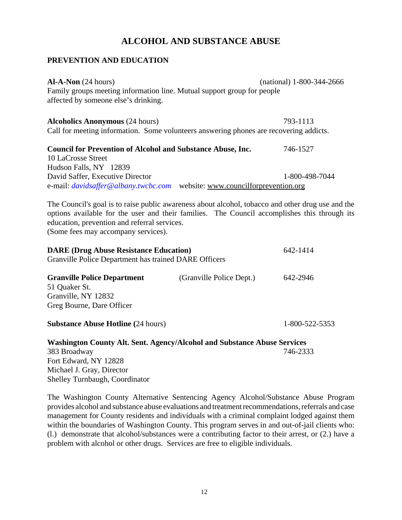# **ALCOHOL AND SUBSTANCE ABUSE**

#### **PREVENTION AND EDUCATION**

| $AI-A-Non (24 hours)$<br>Family groups meeting information line. Mutual support group for people<br>affected by someone else's drinking.                                                                                                                                                 |                          | (national) 1-800-344-2666 |
|------------------------------------------------------------------------------------------------------------------------------------------------------------------------------------------------------------------------------------------------------------------------------------------|--------------------------|---------------------------|
| <b>Alcoholics Anonymous (24 hours)</b><br>Call for meeting information. Some volunteers answering phones are recovering addicts.                                                                                                                                                         |                          | 793-1113                  |
| Council for Prevention of Alcohol and Substance Abuse, Inc.<br>10 LaCrosse Street<br>Hudson Falls, NY 12839                                                                                                                                                                              |                          | 746-1527                  |
| David Saffer, Executive Director<br>e-mail: <i>davidsaffer@albany.twcbc.com</i> website: www.councilforprevention.org                                                                                                                                                                    |                          | 1-800-498-7044            |
| The Council's goal is to raise public awareness about alcohol, tobacco and other drug use and the<br>options available for the user and their families. The Council accomplishes this through its<br>education, prevention and referral services.<br>(Some fees may accompany services). |                          |                           |
| <b>DARE</b> (Drug Abuse Resistance Education)<br>Granville Police Department has trained DARE Officers                                                                                                                                                                                   |                          | 642-1414                  |
| <b>Granville Police Department</b><br>51 Quaker St.<br>Granville, NY 12832<br>Greg Bourne, Dare Officer                                                                                                                                                                                  | (Granville Police Dept.) | 642-2946                  |
| <b>Substance Abuse Hotline (24 hours)</b>                                                                                                                                                                                                                                                |                          | 1-800-522-5353            |
| Washington County Alt. Sent. Agency/Alcohol and Substance Abuse Services<br>383 Broadway<br>Fort Edward, NY 12828<br>Michael J. Gray, Director<br>Shelley Turnbaugh, Coordinator                                                                                                         |                          | 746-2333                  |

The Washington County Alternative Sentencing Agency Alcohol/Substance Abuse Program provides alcohol and substance abuse evaluations and treatment recommendations, referrals and case management for County residents and individuals with a criminal complaint lodged against them within the boundaries of Washington County. This program serves in and out-of-jail clients who: (l.) demonstrate that alcohol/substances were a contributing factor to their arrest, or (2.) have a problem with alcohol or other drugs. Services are free to eligible individuals.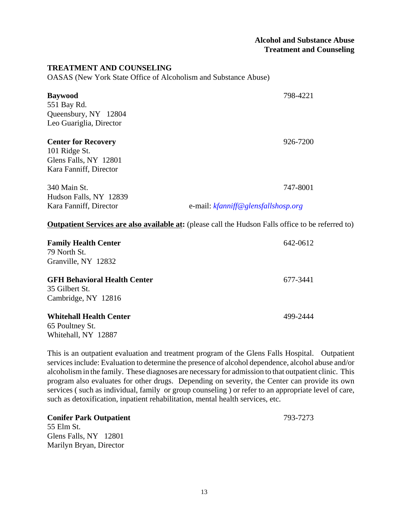#### **Alcohol and Substance Abuse Treatment and Counseling**

#### **TREATMENT AND COUNSELING**

OASAS (New York State Office of Alcoholism and Substance Abuse)

| <b>Baywood</b>             | 798-4221                            |
|----------------------------|-------------------------------------|
| 551 Bay Rd.                |                                     |
| Queensbury, NY 12804       |                                     |
| Leo Guariglia, Director    |                                     |
| <b>Center for Recovery</b> | 926-7200                            |
| 101 Ridge St.              |                                     |
| Glens Falls, NY 12801      |                                     |
| Kara Fanniff, Director     |                                     |
| 340 Main St.               | 747-8001                            |
| Hudson Falls, NY 12839     |                                     |
| Kara Fanniff, Director     | e-mail: kfanniff@glensfallshosp.org |

#### **Outpatient Services are also available at:** (please call the Hudson Falls office to be referred to)

| <b>Family Health Center</b><br>79 North St.<br>Granville, NY 12832 | 642-0612 |
|--------------------------------------------------------------------|----------|
|                                                                    |          |
|                                                                    |          |
| <b>GFH Behavioral Health Center</b>                                | 677-3441 |
| 35 Gilbert St.<br>Cambridge, NY 12816                              |          |
|                                                                    |          |
| <b>Whitehall Health Center</b>                                     | 499-2444 |
| 65 Poultney St.                                                    |          |

Whitehall, NY 12887

This is an outpatient evaluation and treatment program of the Glens Falls Hospital. Outpatient services include: Evaluation to determine the presence of alcohol dependence, alcohol abuse and/or alcoholism in the family. These diagnoses are necessary for admission to that outpatient clinic. This program also evaluates for other drugs. Depending on severity, the Center can provide its own services ( such as individual, family or group counseling ) or refer to an appropriate level of care, such as detoxification, inpatient rehabilitation, mental health services, etc.

**Conifer Park Outpatient** 793-7273 55 Elm St. Glens Falls, NY 12801 Marilyn Bryan, Director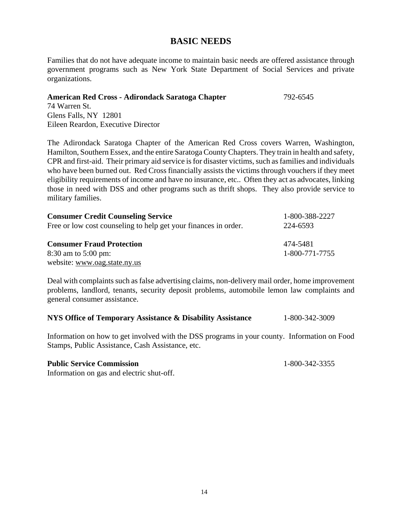# **BASIC NEEDS**

Families that do not have adequate income to maintain basic needs are offered assistance through government programs such as New York State Department of Social Services and private organizations.

#### **American Red Cross - Adirondack Saratoga Chapter** 792-6545

74 Warren St. Glens Falls, NY 12801 Eileen Reardon, Executive Director

The Adirondack Saratoga Chapter of the American Red Cross covers Warren, Washington, Hamilton, Southern Essex, and the entire Saratoga County Chapters. They train in health and safety, CPR and first-aid. Their primary aid service is for disaster victims, such as families and individuals who have been burned out. Red Cross financially assists the victims through vouchers if they meet eligibility requirements of income and have no insurance, etc.. Often they act as advocates, linking those in need with DSS and other programs such as thrift shops. They also provide service to military families.

| <b>Consumer Credit Counseling Service</b>                       | 1-800-388-2227 |
|-----------------------------------------------------------------|----------------|
| Free or low cost counseling to help get your finances in order. | 224-6593       |
| <b>Consumer Fraud Protection</b>                                | 474-5481       |
| $8:30$ am to $5:00$ pm:                                         | 1-800-771-7755 |
| website: www.oag.state.ny.us                                    |                |

Deal with complaints such as false advertising claims, non-delivery mail order, home improvement problems, landlord, tenants, security deposit problems, automobile lemon law complaints and general consumer assistance.

|  | <b>NYS Office of Temporary Assistance &amp; Disability Assistance</b> | 1-800-342-3009 |
|--|-----------------------------------------------------------------------|----------------|
|--|-----------------------------------------------------------------------|----------------|

Information on how to get involved with the DSS programs in your county. Information on Food Stamps, Public Assistance, Cash Assistance, etc.

#### **Public Service Commission** 1-800-342-3355

Information on gas and electric shut-off.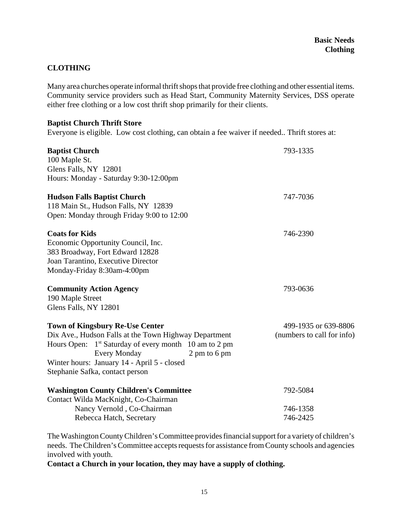# **CLOTHING**

Many area churches operate informal thrift shops that provide free clothing and other essential items. Community service providers such as Head Start, Community Maternity Services, DSS operate either free clothing or a low cost thrift shop primarily for their clients.

#### **Baptist Church Thrift Store**

Everyone is eligible. Low cost clothing, can obtain a fee waiver if needed.. Thrift stores at:

| <b>Baptist Church</b><br>100 Maple St.<br>Glens Falls, NY 12801<br>Hours: Monday - Saturday 9:30-12:00pm                                                                                                                                                                                      | 793-1335                                           |
|-----------------------------------------------------------------------------------------------------------------------------------------------------------------------------------------------------------------------------------------------------------------------------------------------|----------------------------------------------------|
| <b>Hudson Falls Baptist Church</b><br>118 Main St., Hudson Falls, NY 12839<br>Open: Monday through Friday 9:00 to 12:00                                                                                                                                                                       | 747-7036                                           |
| <b>Coats for Kids</b><br>Economic Opportunity Council, Inc.<br>383 Broadway, Fort Edward 12828<br>Joan Tarantino, Executive Director<br>Monday-Friday 8:30am-4:00pm                                                                                                                           | 746-2390                                           |
| <b>Community Action Agency</b><br>190 Maple Street<br>Glens Falls, NY 12801                                                                                                                                                                                                                   | 793-0636                                           |
| <b>Town of Kingsbury Re-Use Center</b><br>Dix Ave., Hudson Falls at the Town Highway Department<br>Hours Open: 1 <sup>st</sup> Saturday of every month 10 am to 2 pm<br><b>Every Monday</b><br>2 pm to 6 pm<br>Winter hours: January 14 - April 5 - closed<br>Stephanie Safka, contact person | 499-1935 or 639-8806<br>(numbers to call for info) |
| <b>Washington County Children's Committee</b><br>Contact Wilda MacKnight, Co-Chairman                                                                                                                                                                                                         | 792-5084                                           |
| Nancy Vernold, Co-Chairman                                                                                                                                                                                                                                                                    | 746-1358                                           |
| Rebecca Hatch, Secretary                                                                                                                                                                                                                                                                      | 746-2425                                           |

The Washington County Children's Committee provides financial support for a variety of children's needs. The Children's Committee accepts requests for assistance from County schools and agencies involved with youth.

**Contact a Church in your location, they may have a supply of clothing.**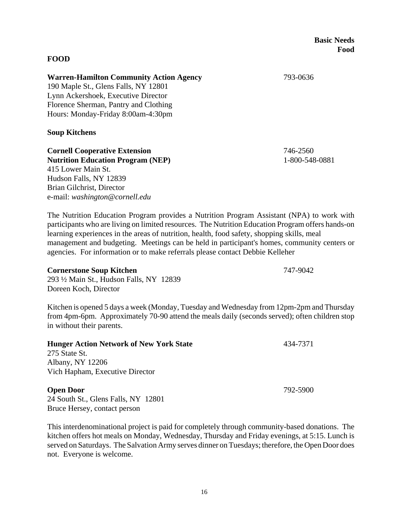# **Basic Needs Food**

**Warren-Hamilton Community Action Agency** 793-0636

190 Maple St., Glens Falls, NY 12801 Lynn Ackershoek, Executive Director Florence Sherman, Pantry and Clothing Hours: Monday-Friday 8:00am-4:30pm

**Soup Kitchens**

**FOOD** 

**Cornell Cooperative Extension** 746-2560 **Nutrition Education Program (NEP)** 1-800-548-0881 415 Lower Main St. Hudson Falls, NY 12839 Brian Gilchrist, Director

e-mail: *washington@cornell.edu*

The Nutrition Education Program provides a Nutrition Program Assistant (NPA) to work with participants who are living on limited resources. The Nutrition Education Program offers hands-on learning experiences in the areas of nutrition, health, food safety, shopping skills, meal management and budgeting. Meetings can be held in participant's homes, community centers or agencies. For information or to make referrals please contact Debbie Kelleher

#### **Cornerstone Soup Kitchen** 747-9042

293 ½ Main St., Hudson Falls, NY 12839 Doreen Koch, Director

Kitchen is opened 5 days a week (Monday, Tuesday and Wednesday from 12pm-2pm and Thursday from 4pm-6pm. Approximately 70-90 attend the meals daily (seconds served); often children stop in without their parents.

| <b>Hunger Action Network of New York State</b> | 434-7371 |
|------------------------------------------------|----------|
| 275 State St.                                  |          |
| Albany, NY 12206                               |          |
| Vich Hapham, Executive Director                |          |
|                                                |          |

**Open Door** 792-5900 24 South St., Glens Falls, NY 12801 Bruce Hersey, contact person

This interdenominational project is paid for completely through community-based donations. The kitchen offers hot meals on Monday, Wednesday, Thursday and Friday evenings, at 5:15. Lunch is served on Saturdays. The Salvation Army serves dinner on Tuesdays; therefore, the Open Door does not. Everyone is welcome.

16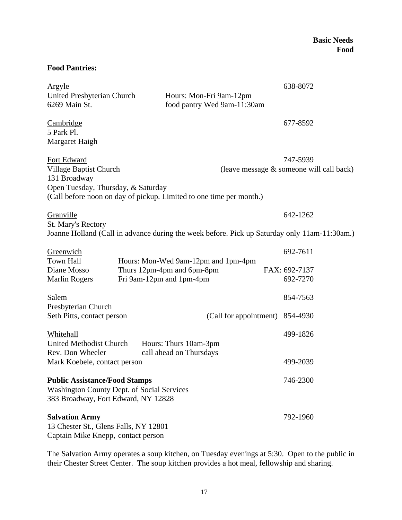# **Food Pantries:**

| <u>Argyle</u>                                                       | 638-8072                                                                                     |  |
|---------------------------------------------------------------------|----------------------------------------------------------------------------------------------|--|
| United Presbyterian Church                                          | Hours: Mon-Fri 9am-12pm                                                                      |  |
| 6269 Main St.                                                       | food pantry Wed 9am-11:30am                                                                  |  |
|                                                                     |                                                                                              |  |
| <b>Cambridge</b>                                                    | 677-8592                                                                                     |  |
| 5 Park Pl.                                                          |                                                                                              |  |
| Margaret Haigh                                                      |                                                                                              |  |
|                                                                     |                                                                                              |  |
| Fort Edward                                                         | 747-5939                                                                                     |  |
| <b>Village Baptist Church</b>                                       | (leave message & someone will call back)                                                     |  |
| 131 Broadway                                                        |                                                                                              |  |
| Open Tuesday, Thursday, & Saturday                                  |                                                                                              |  |
| (Call before noon on day of pickup. Limited to one time per month.) |                                                                                              |  |
|                                                                     |                                                                                              |  |
| Granville                                                           | 642-1262                                                                                     |  |
| St. Mary's Rectory                                                  |                                                                                              |  |
|                                                                     | Joanne Holland (Call in advance during the week before. Pick up Saturday only 11am-11:30am.) |  |
|                                                                     |                                                                                              |  |
| Greenwich                                                           | 692-7611                                                                                     |  |
| <b>Town Hall</b>                                                    | Hours: Mon-Wed 9am-12pm and 1pm-4pm                                                          |  |
| Diane Mosso                                                         | Thurs 12pm-4pm and 6pm-8pm<br>FAX: 692-7137                                                  |  |
| <b>Marlin Rogers</b>                                                | Fri 9am-12pm and 1pm-4pm<br>692-7270                                                         |  |
|                                                                     |                                                                                              |  |
| Salem                                                               | 854-7563                                                                                     |  |
| Presbyterian Church                                                 |                                                                                              |  |
| Seth Pitts, contact person                                          | (Call for appointment)<br>854-4930                                                           |  |
|                                                                     |                                                                                              |  |
| Whitehall                                                           | 499-1826                                                                                     |  |
| United Methodist Church                                             | Hours: Thurs 10am-3pm                                                                        |  |
| Rev. Don Wheeler                                                    | call ahead on Thursdays                                                                      |  |
| Mark Koebele, contact person                                        | 499-2039                                                                                     |  |
|                                                                     |                                                                                              |  |
| <b>Public Assistance/Food Stamps</b>                                | 746-2300                                                                                     |  |
| Washington County Dept. of Social Services                          |                                                                                              |  |
| 383 Broadway, Fort Edward, NY 12828                                 |                                                                                              |  |
|                                                                     |                                                                                              |  |
| <b>Salvation Army</b>                                               | 792-1960                                                                                     |  |
| 13 Chester St., Glens Falls, NY 12801                               |                                                                                              |  |
| Captain Mike Knepp, contact person                                  |                                                                                              |  |
|                                                                     |                                                                                              |  |

The Salvation Army operates a soup kitchen, on Tuesday evenings at 5:30. Open to the public in their Chester Street Center. The soup kitchen provides a hot meal, fellowship and sharing.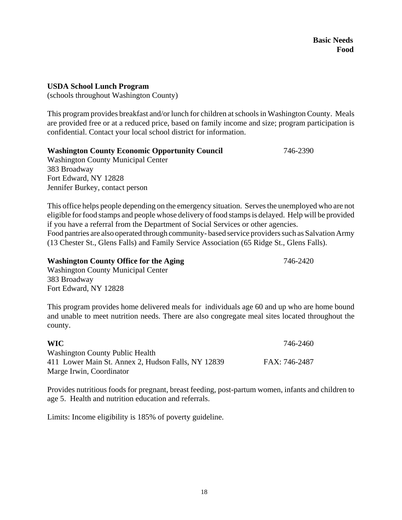# **USDA School Lunch Program**

(schools throughout Washington County)

This program provides breakfast and/or lunch for children at schools in Washington County. Meals are provided free or at a reduced price, based on family income and size; program participation is confidential. Contact your local school district for information.

# **Washington County Economic Opportunity Council** 746-2390

Washington County Municipal Center 383 Broadway Fort Edward, NY 12828 Jennifer Burkey, contact person

This office helps people depending on the emergency situation. Serves the unemployed who are not eligible for food stamps and people whose delivery of food stamps is delayed. Help will be provided if you have a referral from the Department of Social Services or other agencies. Food pantries are also operated through community- based service providers such as Salvation Army (13 Chester St., Glens Falls) and Family Service Association (65 Ridge St., Glens Falls).

# **Washington County Office for the Aging** 746-2420

Washington County Municipal Center 383 Broadway Fort Edward, NY 12828

This program provides home delivered meals for individuals age 60 and up who are home bound and unable to meet nutrition needs. There are also congregate meal sites located throughout the county.

## **WIC** 746-2460 Washington County Public Health 411 Lower Main St. Annex 2, Hudson Falls, NY 12839 FAX: 746-2487 Marge Irwin, Coordinator

Provides nutritious foods for pregnant, breast feeding, post-partum women, infants and children to age 5. Health and nutrition education and referrals.

Limits: Income eligibility is 185% of poverty guideline.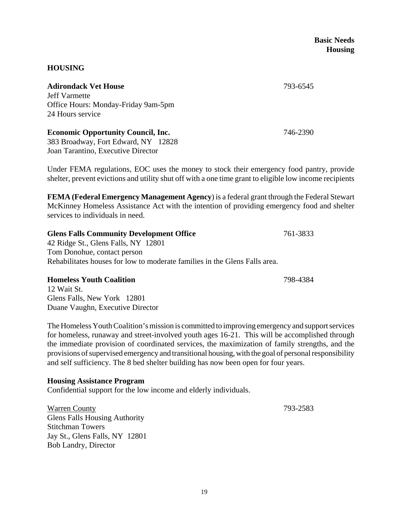19

**Basic Needs Housing**

### **HOUSING**

**Adirondack Vet House** 793-6545 Jeff Varmette Office Hours: Monday-Friday 9am-5pm 24 Hours service

**Economic Opportunity Council, Inc.** 746-2390 383 Broadway, Fort Edward, NY 12828 Joan Tarantino, Executive Director

Under FEMA regulations, EOC uses the money to stock their emergency food pantry, provide shelter, prevent evictions and utility shut off with a one time grant to eligible low income recipients

**FEMA (Federal Emergency Management Agency**) is a federal grant through the Federal Stewart McKinney Homeless Assistance Act with the intention of providing emergency food and shelter services to individuals in need.

| <b>Glens Falls Community Development Office</b>                            | 761-3833 |
|----------------------------------------------------------------------------|----------|
| 42 Ridge St., Glens Falls, NY 12801                                        |          |
| Tom Donohue, contact person                                                |          |
| Rehabilitates houses for low to moderate families in the Glens Falls area. |          |

#### **Homeless Youth Coalition** 798-4384

12 Wait St. Glens Falls, New York 12801 Duane Vaughn, Executive Director

The Homeless Youth Coalition's mission is committed to improving emergency and support services for homeless, runaway and street-involved youth ages 16-21. This will be accomplished through the immediate provision of coordinated services, the maximization of family strengths, and the provisions of supervised emergency and transitional housing, with the goal of personal responsibility and self sufficiency. The 8 bed shelter building has now been open for four years.

#### **Housing Assistance Program**

Confidential support for the low income and elderly individuals.

Warren County 793-2583 Glens Falls Housing Authority Stitchman Towers Jay St., Glens Falls, NY 12801 Bob Landry, Director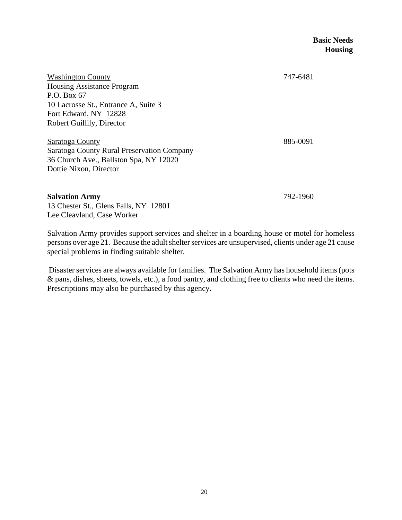Washington County 747-6481 Housing Assistance Program P.O. Box 67 10 Lacrosse St., Entrance A, Suite 3 Fort Edward, NY 12828 Robert Guillily, Director Saratoga County 885-0091 Saratoga County Rural Preservation Company 36 Church Ave., Ballston Spa, NY 12020 Dottie Nixon, Director **Salvation Army** 792-1960

13 Chester St., Glens Falls, NY 12801 Lee Cleavland, Case Worker

Salvation Army provides support services and shelter in a boarding house or motel for homeless persons over age 21. Because the adult shelter services are unsupervised, clients under age 21 cause special problems in finding suitable shelter.

 Disaster services are always available for families. The Salvation Army has household items (pots & pans, dishes, sheets, towels, etc.), a food pantry, and clothing free to clients who need the items. Prescriptions may also be purchased by this agency.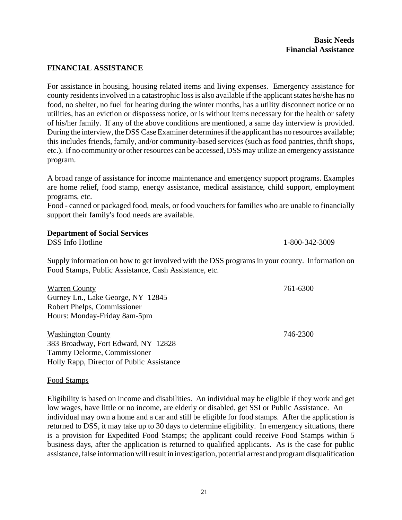#### **FINANCIAL ASSISTANCE**

For assistance in housing, housing related items and living expenses. Emergency assistance for county residents involved in a catastrophic loss is also available if the applicant states he/she has no food, no shelter, no fuel for heating during the winter months, has a utility disconnect notice or no utilities, has an eviction or dispossess notice, or is without items necessary for the health or safety of his/her family. If any of the above conditions are mentioned, a same day interview is provided. During the interview, the DSS Case Examiner determines if the applicant has no resources available; this includes friends, family, and/or community-based services (such as food pantries, thrift shops, etc.). If no community or other resources can be accessed, DSS may utilize an emergency assistance program.

A broad range of assistance for income maintenance and emergency support programs. Examples are home relief, food stamp, energy assistance, medical assistance, child support, employment programs, etc.

Food - canned or packaged food, meals, or food vouchers for families who are unable to financially support their family's food needs are available.

#### **Department of Social Services**

Holly Rapp, Director of Public Assistance

DSS Info Hotline 1-800-342-3009

Supply information on how to get involved with the DSS programs in your county. Information on Food Stamps, Public Assistance, Cash Assistance, etc.

| <b>Warren County</b>                | 761-6300 |
|-------------------------------------|----------|
| Gurney Ln., Lake George, NY 12845   |          |
| Robert Phelps, Commissioner         |          |
| Hours: Monday-Friday 8am-5pm        |          |
| <b>Washington County</b>            | 746-2300 |
| 383 Broadway, Fort Edward, NY 12828 |          |
| Tammy Delorme, Commissioner         |          |

#### Food Stamps

Eligibility is based on income and disabilities. An individual may be eligible if they work and get low wages, have little or no income, are elderly or disabled, get SSI or Public Assistance. An individual may own a home and a car and still be eligible for food stamps. After the application is returned to DSS, it may take up to 30 days to determine eligibility. In emergency situations, there is a provision for Expedited Food Stamps; the applicant could receive Food Stamps within 5 business days, after the application is returned to qualified applicants. As is the case for public assistance, false information will result in investigation, potential arrest and program disqualification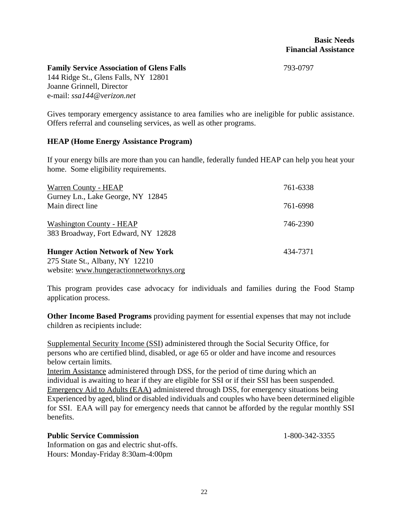# **Family Service Association of Glens Falls** 793-0797

144 Ridge St., Glens Falls, NY 12801 Joanne Grinnell, Director e-mail: *ssa144@verizon.net*

Gives temporary emergency assistance to area families who are ineligible for public assistance. Offers referral and counseling services, as well as other programs.

#### **HEAP (Home Energy Assistance Program)**

If your energy bills are more than you can handle, federally funded HEAP can help you heat your home. Some eligibility requirements.

| Warren County - HEAP                                                       | 761-6338 |
|----------------------------------------------------------------------------|----------|
| Gurney Ln., Lake George, NY 12845<br>Main direct line                      | 761-6998 |
| <b>Washington County - HEAP</b><br>383 Broadway, Fort Edward, NY 12828     | 746-2390 |
| <b>Hunger Action Network of New York</b>                                   | 434-7371 |
| 275 State St., Albany, NY 12210<br>website: www.hungeractionnetworknys.org |          |

This program provides case advocacy for individuals and families during the Food Stamp application process.

**Other Income Based Programs** providing payment for essential expenses that may not include children as recipients include:

Supplemental Security Income (SSI) administered through the Social Security Office, for persons who are certified blind, disabled, or age 65 or older and have income and resources below certain limits.

Interim Assistance administered through DSS, for the period of time during which an individual is awaiting to hear if they are eligible for SSI or if their SSI has been suspended. Emergency Aid to Adults (EAA) administered through DSS, for emergency situations being Experienced by aged, blind or disabled individuals and couples who have been determined eligible for SSI. EAA will pay for emergency needs that cannot be afforded by the regular monthly SSI benefits.

### **Public Service Commission** 1-800-342-3355

Information on gas and electric shut-offs. Hours: Monday-Friday 8:30am-4:00pm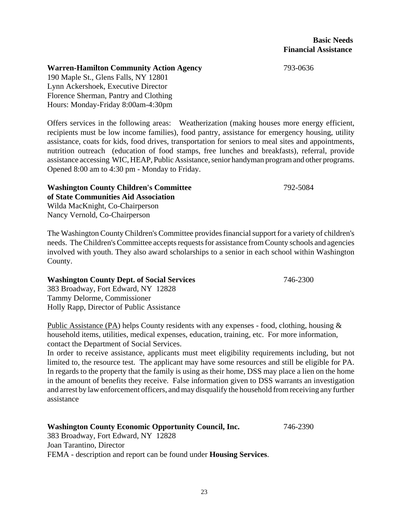**Warren-Hamilton Community Action Agency** 793-0636

190 Maple St., Glens Falls, NY 12801 Lynn Ackershoek, Executive Director Florence Sherman, Pantry and Clothing Hours: Monday-Friday 8:00am-4:30pm

Offers services in the following areas: Weatherization (making houses more energy efficient, recipients must be low income families), food pantry, assistance for emergency housing, utility assistance, coats for kids, food drives, transportation for seniors to meal sites and appointments, nutrition outreach (education of food stamps, free lunches and breakfasts), referral, provide assistance accessing WIC, HEAP, Public Assistance, senior handyman program and other programs. Opened 8:00 am to 4:30 pm - Monday to Friday.

**Washington County Children's Committee** 792-5084 **of State Communities Aid Association** Wilda MacKnight, Co-Chairperson Nancy Vernold, Co-Chairperson

The Washington County Children's Committee provides financial support for a variety of children's needs. The Children's Committee accepts requests for assistance from County schools and agencies involved with youth. They also award scholarships to a senior in each school within Washington County.

| <b>Washington County Dept. of Social Services</b> | 746-2300 |
|---------------------------------------------------|----------|
| 383 Broadway, Fort Edward, NY 12828               |          |
| Tammy Delorme, Commissioner                       |          |

Public Assistance (PA) helps County residents with any expenses - food, clothing, housing  $\&$ household items, utilities, medical expenses, education, training, etc. For more information,

In order to receive assistance, applicants must meet eligibility requirements including, but not limited to, the resource test. The applicant may have some resources and still be eligible for PA. In regards to the property that the family is using as their home, DSS may place a lien on the home in the amount of benefits they receive. False information given to DSS warrants an investigation and arrest by law enforcement officers, and may disqualify the household from receiving any further assistance

**Washington County Economic Opportunity Council, Inc.** 746-2390 383 Broadway, Fort Edward, NY 12828 Joan Tarantino, Director FEMA - description and report can be found under **Housing Services**.

# Holly Rapp, Director of Public Assistance

contact the Department of Social Services.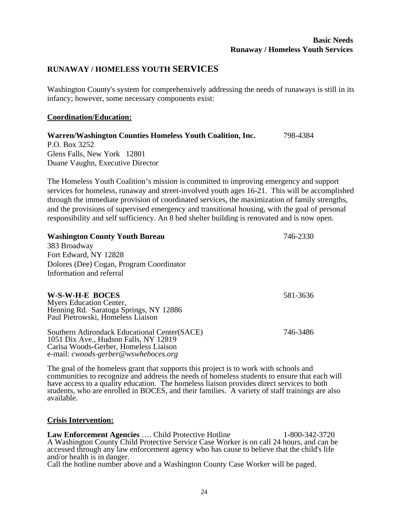# **RUNAWAY / HOMELESS YOUTH SERVICES**

Washington County's system for comprehensively addressing the needs of runaways is still in its infancy; however, some necessary components exist:

#### **Coordination/Education:**

| Warren/Washington Counties Homeless Youth Coalition, Inc. | 798-4384 |
|-----------------------------------------------------------|----------|
| P.O. Box 3252                                             |          |
| Glens Falls, New York 12801                               |          |
| Duane Vaughn, Executive Director                          |          |

The Homeless Youth Coalition's mission is committed to improving emergency and support services for homeless, runaway and street-involved youth ages 16-21. This will be accomplished through the immediate provision of coordinated services, the maximization of family strengths, and the provisions of supervised emergency and transitional housing, with the goal of personal responsibility and self sufficiency. An 8 bed shelter building is renovated and is now open.

| <b>Washington County Youth Bureau</b>                                       | 746-2330 |
|-----------------------------------------------------------------------------|----------|
| 383 Broadway                                                                |          |
| Fort Edward, NY 12828                                                       |          |
| Dolores (Dee) Cogan, Program Coordinator                                    |          |
| Information and referral                                                    |          |
| W-S-W-H-E BOCES                                                             | 581-3636 |
| <b>Myers Education Center,</b>                                              |          |
| Henning Rd. Saratoga Springs, NY 12886<br>Paul Pietrowski, Homeless Liaison |          |
|                                                                             |          |
| Southern Adirondack Educational Center(SACE)                                | 746-3486 |
| 1051 Dix Ave., Hudson Falls, NY 12819                                       |          |
| Carisa Woods-Gerber, Homeless Liaison                                       |          |
| e-mail: cwoods-gerber@wswheboces.org                                        |          |

The goal of the homeless grant that supports this project is to work with schools and communities to recognize and address the needs of homeless students to ensure that each will have access to a quality education. The homeless liaison provides direct services to both students, who are enrolled in BOCES, and their families. A variety of staff trainings are also available.

#### **Crisis Intervention:**

**Law Enforcement Agencies ....** Child Protective Hotline 1-800-342-3720 A Washington County Child Protective Service Case Worker is on call 24 hours, and can be accessed through any law enforcement agency who has cause to believe that the child's life and/or health is in danger.

Call the hotline number above and a Washington County Case Worker will be paged.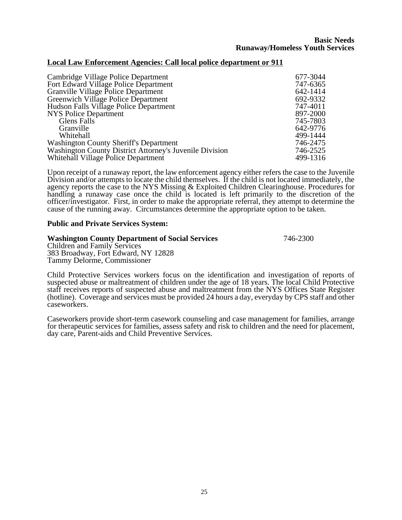#### **Local Law Enforcement Agencies: Call local police department or 911**

| Cambridge Village Police Department                     | 677-3044 |
|---------------------------------------------------------|----------|
| Fort Edward Village Police Department                   | 747-6365 |
| Granville Village Police Department                     | 642-1414 |
| Greenwich Village Police Department                     | 692-9332 |
| Hudson Falls Village Police Department                  | 747-4011 |
| <b>NYS Police Department</b>                            | 897-2000 |
| Glens Falls                                             | 745-7803 |
| Granville                                               | 642-9776 |
| Whitehall                                               | 499-1444 |
| <b>Washington County Sheriff's Department</b>           | 746-2475 |
| Washington County District Attorney's Juvenile Division | 746-2525 |
| Whitehall Village Police Department                     | 499-1316 |

Upon receipt of a runaway report, the law enforcement agency either refers the case to the Juvenile Division and/or attempts to locate the child themselves. If the child is not located immediately, the agency reports the case to the NYS Missing & Exploited Children Clearinghouse. Procedures for handling a runaway case once the child is located is left primarily to the discretion of the officer/investigator. First, in order to make the appropriate referral, they attempt to determine the cause of the running away. Circumstances determine the appropriate option to be taken.

#### **Public and Private Services System:**

#### **Washington County Department of Social Services** 746-2300 Children and Family Services 383 Broadway, Fort Edward, NY 12828 Tammy Delorme, Commissioner

Child Protective Services workers focus on the identification and investigation of reports of suspected abuse or maltreatment of children under the age of 18 years. The local Child Protective staff receives reports of suspected abuse and maltreatment from the NYS Offices State Register (hotline). Coverage and services must be provided 24 hours a day, everyday by CPS staff and other caseworkers.

Caseworkers provide short-term casework counseling and case management for families, arrange for therapeutic services for families, assess safety and risk to children and the need for placement, day care, Parent-aids and Child Preventive Services.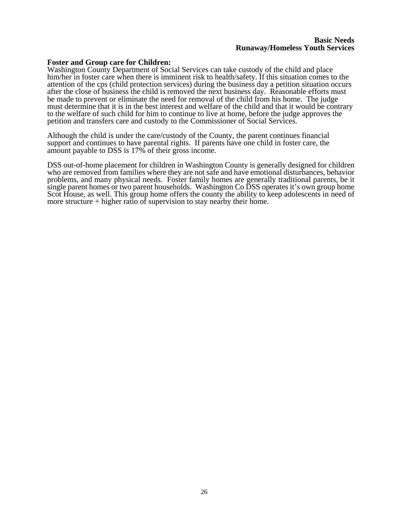#### **Foster and Group care for Children:**

Washington County Department of Social Services can take custody of the child and place him/her in foster care when there is imminent risk to health/safety. If this situation comes to the attention of the cps (child protection services) during the business day a petition situation occurs after the close of business the child is removed the next business day. Reasonable efforts must be made to prevent or eliminate the need for removal of the child from his home. The judge must determine that it is in the best interest and welfare of the child and that it would be contrary to the welfare of such child for him to continue to live at home, before the judge approves the petition and transfers care and custody to the Commissioner of Social Services.

Although the child is under the care/custody of the County, the parent continues financial support and continues to have parental rights. If parents have one child in foster care, the amount payable to DSS is 17% of their gross income.

DSS out-of-home placement for children in Washington County is generally designed for children who are removed from families where they are not safe and have emotional disturbances, behavior problems, and many physical needs. Foster family homes are generally traditional parents, be it single parent homes or two parent households. Washington Co DSS operates it's own group home Scot House, as well. This group home offers the county the ability to keep adolescents in need of more structure + higher ratio of supervision to stay nearby their home.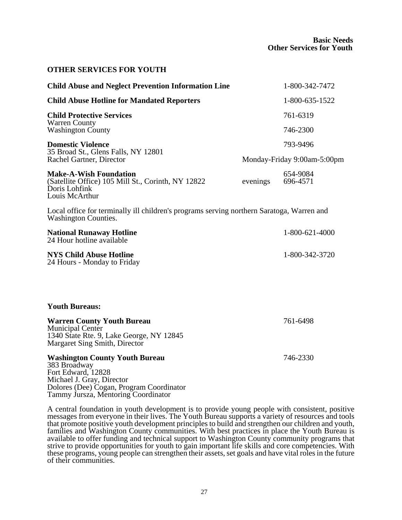#### **OTHER SERVICES FOR YOUTH**

| <b>Child Abuse and Neglect Prevention Information Line</b>                                                                                           |                             | 1-800-342-7472       |  |
|------------------------------------------------------------------------------------------------------------------------------------------------------|-----------------------------|----------------------|--|
| <b>Child Abuse Hotline for Mandated Reporters</b>                                                                                                    |                             | 1-800-635-1522       |  |
| <b>Child Protective Services</b>                                                                                                                     |                             | 761-6319             |  |
| <b>Warren County</b><br><b>Washington County</b>                                                                                                     |                             | 746-2300             |  |
| <b>Domestic Violence</b>                                                                                                                             |                             | 793-9496             |  |
| 35 Broad St., Glens Falls, NY 12801<br>Rachel Gartner, Director                                                                                      | Monday-Friday 9:00am-5:00pm |                      |  |
| <b>Make-A-Wish Foundation</b><br>(Satellite Office) 105 Mill St., Corinth, NY 12822<br>Doris Lohfink<br>Louis McArthur                               | evenings                    | 654-9084<br>696-4571 |  |
| Local office for terminally ill children's programs serving northern Saratoga, Warren and<br><b>Washington Counties.</b>                             |                             |                      |  |
| <b>National Runaway Hotline</b><br>24 Hour hotline available                                                                                         |                             | 1-800-621-4000       |  |
| <b>NYS Child Abuse Hotline</b><br>24 Hours - Monday to Friday                                                                                        |                             | 1-800-342-3720       |  |
| <b>Youth Bureaus:</b>                                                                                                                                |                             |                      |  |
| <b>Warren County Youth Bureau</b><br><b>Municipal Center</b><br>1340 State Rte. 9, Lake George, NY 12845<br>Margaret Sing Smith, Director            |                             | 761-6498             |  |
| <b>Washington County Youth Bureau</b><br>383 Broadway<br>Fort Edward, 12828<br>Michael J. Gray, Director<br>Dolores (Dee) Cogan, Program Coordinator |                             | 746-2330             |  |

Tammy Jursza, Mentoring Coordinator

A central foundation in youth development is to provide young people with consistent, positive messages from everyone in their lives. The Youth Bureau supports a variety of resources and tools that promote positive youth development principles to build and strengthen our children and youth, families and Washington County communities. With best practices in place the Youth Bureau is available to offer funding and technical support to Washington County community programs that strive to provide opportunities for youth to gain important life skills and core competencies. With these programs, young people can strengthen their assets, set goals and have vital roles in the future of their communities.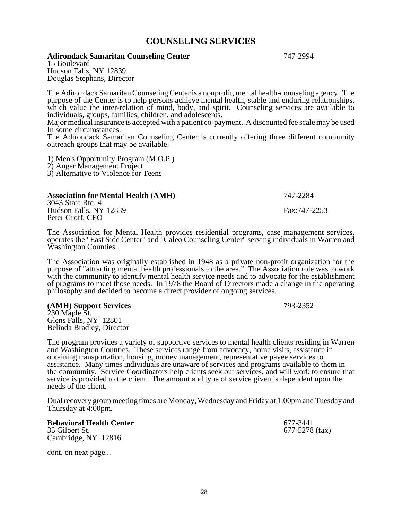# **COUNSELING SERVICES**

#### **Adirondack Samaritan Counseling Center** 747-2994

15 Boulevard Hudson Falls, NY 12839 Douglas Stephans, Director

The Adirondack Samaritan Counseling Center is a nonprofit, mental health-counseling agency. The purpose of the Center is to help persons achieve mental health, stable and enduring relationships, which value the inter-relation of mind, body, and spirit. Counseling services are available to individuals, groups, families, children, and adolescents.

Major medical insurance is accepted with a patient co-payment. A discounted fee scale may be used In some circumstances.

The Adirondack Samaritan Counseling Center is currently offering three different community outreach groups that may be available.

1) Men's Opportunity Program (M.O.P.) 2) Anger Management Project 3) Alternative to Violence for Teens

| <b>Association for Mental Health (AMH)</b> | 747-2284     |
|--------------------------------------------|--------------|
| 3043 State Rte. 4                          |              |
| Hudson Falls, NY 12839                     | Fax:747-2253 |
| Peter Groff, CEO                           |              |

The Association for Mental Health provides residential programs, case management services, operates the "East Side Center" and "Caleo Counseling Center" serving individuals in Warren and Washington Counties.

The Association was originally established in 1948 as a private non-profit organization for the purpose of "attracting mental health professionals to the area." The Association role was to work with the community to identify mental health service needs and to advocate for the establishment of programs to meet those needs. In 1978 the Board of Directors made a change in the operating philosophy and decided to become a direct provider of ongoing services.

#### **(AMH) Support Services** 793-2352

230 Maple St. Glens Falls, NY 12801 Belinda Bradley, Director

The program provides a variety of supportive services to mental health clients residing in Warren and Washington Counties. These services range from advocacy, home visits, assistance in obtaining transportation, housing, money management, representative payee services to assistance. Many times individuals are unaware of services and programs available to them in the community. Service Coordinators help clients seek out services, and will work to ensure that service is provided to the client. The amount and type of service given is dependent upon the needs of the client.

Dual recovery group meeting times are Monday, Wednesday and Friday at 1:00pm and Tuesday and

**Thursday at 4:000 Behavioral Health Center** 677-3441<br>35 Gilbert St. 677-5278 Cambridge, NY 12816

cont. on next page...

 $677 - 5278$  (fax)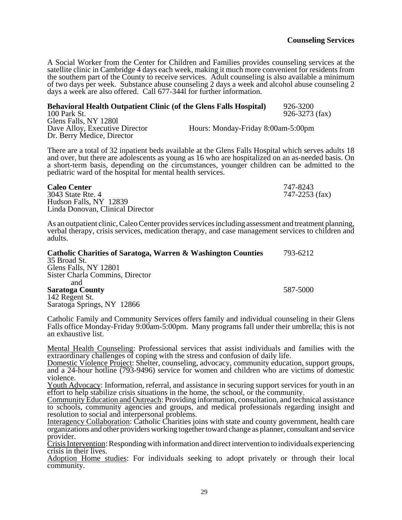A Social Worker from the Center for Children and Families provides counseling services at the satellite clinic in Cambridge 4 days each week, making it much more convenient for residents from the southern part of the County to receive services. Adult counseling is also available a minimum of two days per week. Substance abuse counseling 2 days a week and alcohol abuse counseling 2 days a week are also offered. Call 677-344l for further information.

| <b>Behavioral Health Outpatient Clinic (of the Glens Falls Hospital)</b> |                                    | 926-3200           |
|--------------------------------------------------------------------------|------------------------------------|--------------------|
| 100 Park St.                                                             |                                    | $926 - 3273$ (fax) |
| Glens Falls, NY 12801                                                    |                                    |                    |
| Dave Alloy, Executive Director                                           | Hours: Monday-Friday 8:00am-5:00pm |                    |
| Dr. Berry Medice, Director                                               |                                    |                    |

There are a total of 32 inpatient beds available at the Glens Falls Hospital which serves adults 18 and over, but there are adolescents as young as 16 who are hospitalized on an as-needed basis. On a short-term basis, depending on the circumstances, younger children can be admitted to the pediatric ward of the hospital for mental health services.

**Caleo Center** 747-8243<br>3043 State Rte. 4 747-2253 (fax) 3043 State Rte. 4 Hudson Falls, NY 12839 Linda Donovan, Clinical Director

As an outpatient clinic, Caleo Center provides services including assessment and treatment planning, verbal therapy, crisis services, medication therapy, and case management services to children and adults.

| <b>Catholic Charities of Saratoga, Warren &amp; Washington Counties</b> | 793-6212 |
|-------------------------------------------------------------------------|----------|
| 35 Broad St.                                                            |          |
| Glens Falls, NY 12801                                                   |          |
| Sister Charla Commins, Director                                         |          |
| and                                                                     |          |
| <b>Saratoga County</b>                                                  | 587-5000 |
| 142 Regent St.                                                          |          |
| Saratoga Springs, NY 12866                                              |          |

Catholic Family and Community Services offers family and individual counseling in their Glens Falls office Monday-Friday 9:00am-5:00pm. Many programs fall under their umbrella; this is not an exhaustive list.

Mental Health Counseling: Professional services that assist individuals and families with the extraordinary challenges of coping with the stress and confusion of daily life.

Domestic Violence Project: Shelter, counseling, advocacy, community education, support groups, and a 24-hour hotline (793-9496) service for women and children who are victims of domestic violence.

Youth Advocacy: Information, referral, and assistance in securing support services for youth in an effort to help stabilize crisis situations in the home, the school, or the community.

Community Education and Outreach: Providing information, consultation, and technical assistance to schools, community agencies and groups, and medical professionals regarding insight and resolution to social and interpersonal problems.

Interagency Collaboration: Catholic Charities joins with state and county government, health care organizations and other providers working together toward change as planner, consultant and service provider.

Crisis Intervention: Responding with information and direct intervention to individuals experiencing crisis in their lives.

Adoption Home studies: For individuals seeking to adopt privately or through their local community.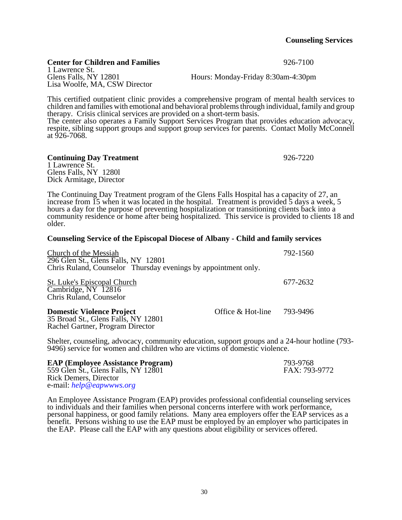Hours: Monday-Friday 8:30am-4:30pm

**Center for Children and Families** 926-7100

1 Lawrence St. Lisa Woolfe, MA, CSW Director

This certified outpatient clinic provides a comprehensive program of mental health services to children and families with emotional and behavioral problems through individual, family and group therapy. Crisis clinical services are provided on a short-term basis.

The center also operates a Family Support Services Program that provides education advocacy, respite, sibling support groups and support group services for parents. Contact Molly McConnell at 926-7068.

#### **Continuing Day Treatment** 926-7220

1 Lawrence St. Glens Falls, NY 1280l Dick Armitage, Director

The Continuing Day Treatment program of the Glens Falls Hospital has a capacity of 27, an increase from 15 when it was located in the hospital. Treatment is provided 5 days a week, 5 hours a day for the purpose of preventing hospitalization or transitioning clients back into a community residence or home after being hospitalized. This service is provided to clients 18 and older.

#### **Counseling Service of the Episcopal Diocese of Albany - Child and family services**

| Church of the Messiah<br>296 Glen St., Glens Falls, NY 12801<br>Chris Ruland, Counselor Thursday evenings by appointment only. |                     | 792-1560 |
|--------------------------------------------------------------------------------------------------------------------------------|---------------------|----------|
| St. Luke's Episcopal Church<br>Cambridge, NY 12816<br>Chris Ruland, Counselor                                                  |                     | 677-2632 |
| <b>Domestic Violence Project</b><br>35 Broad St., Glens Falls, NY 12801<br>Rachel Gartner, Program Director                    | Office $&$ Hot-line | 793-9496 |

Shelter, counseling, advocacy, community education, support groups and a 24-hour hotline (793- 9496) service for women and children who are victims of domestic violence.

| <b>EAP (Employee Assistance Program)</b> | 793-9768      |
|------------------------------------------|---------------|
| 559 Glen St., Glens Falls, NY 12801      | FAX: 793-9772 |
| <b>Rick Demers, Director</b>             |               |
|                                          |               |

e-mail: *help@eapwwws.org*<br>An Employee Assistance Program (EAP) provides professional confidential counseling services to individuals and their families when personal concerns interfere with work performance, personal happiness, or good family relations. Many area employers offer the EAP services as a benefit. Persons wishing to use the EAP must be employed by an employer who participates in the EAP. Please call the EAP with any questions about eligibility or services offered.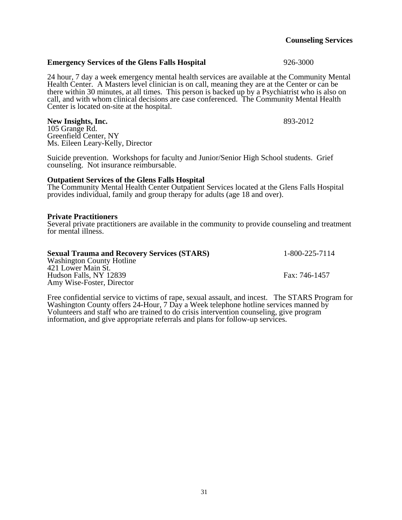31

#### **Emergency Services of the Glens Falls Hospital** 926-3000

24 hour, 7 day a week emergency mental health services are available at the Community Mental Health Center. A Masters level clinician is on call, meaning they are at the Center or can be there within 30 minutes, at all times. This person is backed up by a Psychiatrist who is also on call, and with whom clinical decisions are case conferenced. The Community Mental Health Center is located on-site at the hospital.

#### **New Insights, Inc.** 893-2012

105 Grange Rd. Greenfield Center, NY Ms. Eileen Leary-Kelly, Director

Suicide prevention. Workshops for faculty and Junior/Senior High School students. Grief counseling. Not insurance reimbursable.

#### **Outpatient Services of the Glens Falls Hospital**

The Community Mental Health Center Outpatient Services located at the Glens Falls Hospital provides individual, family and group therapy for adults (age 18 and over).

#### **Private Practitioners**

Several private practitioners are available in the community to provide counseling and treatment for mental illness.

| <b>Sexual Trauma and Recovery Services (STARS)</b> | 1-800-225-7114 |
|----------------------------------------------------|----------------|
| <b>Washington County Hotline</b>                   |                |
| 421 Lower Main St.                                 |                |
| Hudson Falls, NY 12839                             | Fax: 746-1457  |
| Amy Wise-Foster, Director                          |                |

Free confidential service to victims of rape, sexual assault, and incest. The STARS Program for Washington County offers 24-Hour, 7 Day a Week telephone hotline services manned by Volunteers and staff who are trained to do crisis intervention counseling, give program information, and give appropriate referrals and plans for follow-up services.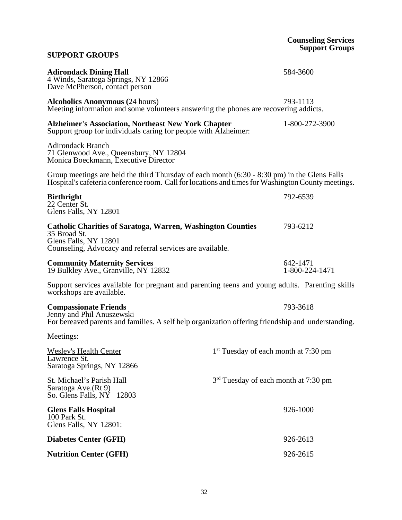| <b>SUPPORT GROUPS</b>                                                                                                                                                                              |                                                  | <b>Support Groups</b>      |
|----------------------------------------------------------------------------------------------------------------------------------------------------------------------------------------------------|--------------------------------------------------|----------------------------|
| <b>Adirondack Dining Hall</b><br>4 Winds, Saratoga Springs, NY 12866<br>Dave McPherson, contact person                                                                                             |                                                  | 584-3600                   |
| <b>Alcoholics Anonymous (24 hours)</b><br>Meeting information and some volunteers answering the phones are recovering addicts.                                                                     |                                                  | 793-1113                   |
| <b>Alzheimer's Association, Northeast New York Chapter</b><br>Support group for individuals caring for people with Alzheimer:                                                                      |                                                  | 1-800-272-3900             |
| <b>Adirondack Branch</b><br>71 Glenwood Ave., Queensbury, NY 12804<br>Monica Boeckmann, Executive Director                                                                                         |                                                  |                            |
| Group meetings are held the third Thursday of each month (6:30 - 8:30 pm) in the Glens Falls<br>Hospital's cafeteria conference room. Call for locations and times for Washington County meetings. |                                                  |                            |
| <b>Birthright</b><br>22 Center St.<br>Glens Falls, NY 12801                                                                                                                                        |                                                  | 792-6539                   |
| <b>Catholic Charities of Saratoga, Warren, Washington Counties</b><br>35 Broad St.<br>Glens Falls, NY 12801<br>Counseling, Advocacy and referral services are available.                           |                                                  | 793-6212                   |
| <b>Community Maternity Services</b><br>19 Bulkley Ave., Granville, NY 12832                                                                                                                        |                                                  | 642-1471<br>1-800-224-1471 |
| Support services available for pregnant and parenting teens and young adults. Parenting skills<br>workshops are available.                                                                         |                                                  |                            |
| <b>Compassionate Friends</b><br>Jenny and Phil Anuszewski<br>For bereaved parents and families. A self help organization offering friendship and understanding.                                    |                                                  | 793-3618                   |
| Meetings:                                                                                                                                                                                          |                                                  |                            |
| <b>Wesley's Health Center</b><br>Lawrence St.<br>Saratoga Springs, NY 12866                                                                                                                        | 1 <sup>st</sup> Tuesday of each month at 7:30 pm |                            |
| <b>St. Michael's Parish Hall</b><br>Saratoga Ave.(Rt 9)<br>So. Glens Falls, NY 12803                                                                                                               | 3 <sup>rd</sup> Tuesday of each month at 7:30 pm |                            |
| <b>Glens Falls Hospital</b><br>100 Park St.<br>Glens Falls, NY 12801:                                                                                                                              |                                                  | 926-1000                   |
| <b>Diabetes Center (GFH)</b>                                                                                                                                                                       |                                                  | 926-2613                   |

**Counseling Services**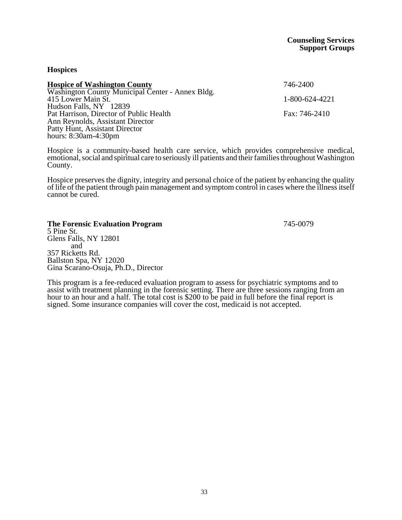#### **Hospices**

| <b>Hospice of Washington County</b>              | 746-2400       |
|--------------------------------------------------|----------------|
| Washington County Municipal Center - Annex Bldg. |                |
| 415 Lower Main St.                               | 1-800-624-4221 |
| Hudson Falls, NY 12839                           |                |
| Pat Harrison, Director of Public Health          | Fax: 746-2410  |
| Ann Reynolds, Assistant Director                 |                |
| Patty Hunt, Assistant Director                   |                |
| hours: $8:30$ am-4:30pm                          |                |

Hospice is a community-based health care service, which provides comprehensive medical, emotional, social and spiritual care to seriously ill patients and their families throughout Washington County.

Hospice preserves the dignity, integrity and personal choice of the patient by enhancing the quality of life of the patient through pain management and symptom control in cases where the illness itself cannot be cured.

#### **The Forensic Evaluation Program** 745-0079 5 Pine St.

Glens Falls, NY 12801 and 357 Ricketts Rd. Ballston Spa, NY 12020 Gina Scarano-Osuja, Ph.D., Director

This program is a fee-reduced evaluation program to assess for psychiatric symptoms and to assist with treatment planning in the forensic setting. There are three sessions ranging from an hour to an hour and a half. The total cost is \$200 to be paid in full before the final report is signed. Some insurance companies will cover the cost, medicaid is not accepted.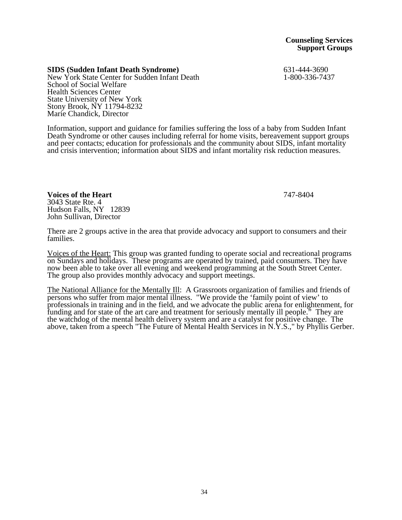**SIDS (Sudden Infant Death Syndrome)** 631-444-3690 New York State Center for Sudden Infant Death School of Social Welfare Health Sciences Center State University of New York Stony Brook, NY 11794-8232 Marie Chandick, Director

Information, support and guidance for families suffering the loss of a baby from Sudden Infant Death Syndrome or other causes including referral for home visits, bereavement support groups and peer contacts; education for professionals and the community about SIDS, infant mortality and crisis intervention; information about SIDS and infant mortality risk reduction measures.

**Voices of the Heart** 747-8404 3043 State Rte. 4 Hudson Falls, NY 12839 John Sullivan, Director

There are 2 groups active in the area that provide advocacy and support to consumers and their families.

Voices of the Heart: This group was granted funding to operate social and recreational programs on Sundays and holidays. These programs are operated by trained, paid consumers. They have now been able to take over all evening and weekend programming at the South Street Center. The group also provides monthly advocacy and support meetings.

The National Alliance for the Mentally Ill: A Grassroots organization of families and friends of persons who suffer from major mental illness. "We provide the 'family point of view' to professionals in training and in the field, and we advocate the public arena for enlightenment, for funding and for state of the art care and treatment for seriously mentally ill people." They are the watchdog of the mental health delivery system and are a catalyst for positive change. The above, taken from a speech "The Future of Mental Health Services in N.Y.S.," by Phyllis Gerber.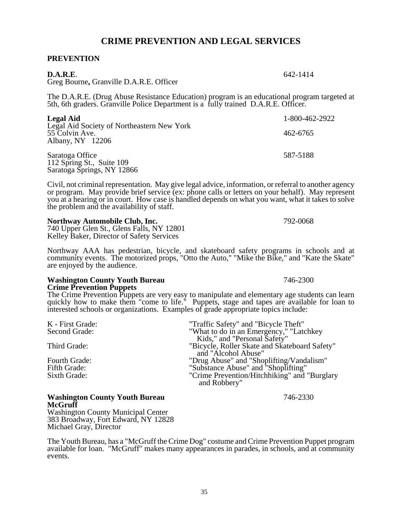# **CRIME PREVENTION AND LEGAL SERVICES**

#### **PREVENTION**

**D.A.R.E**. 642-1414 Greg Bourne**,** Granville D.A.R.E. Officer

The D.A.R.E. (Drug Abuse Resistance Education) program is an educational program targeted at 5th, 6th graders. Granville Police Department is a fully trained D.A.R.E. Officer.

| <b>Legal Aid</b>                                                                   | 1-800-462-2922 |
|------------------------------------------------------------------------------------|----------------|
| Legal Aid Society of Northeastern New York<br>55 Colvin Ave.<br>Albany, NY $12206$ | 462-6765       |
| Saratoga Office<br>112 Spring St., Suite 109<br>Saratoga Springs, NY 12866         | 587-5188       |

Civil, not criminal representation. May give legal advice, information, or referral to another agency or program. May provide brief service (ex: phone calls or letters on your behalf). May represent you at a hearing or in court. How case is handled depends on what you want, what it takes to solve the problem and the availability of staff.

#### **Northway Automobile Club, Inc.** 792-0068

740 Upper Glen St., Glens Falls, NY 12801 Kelley Baker, Director of Safety Services

Northway AAA has pedestrian, bicycle, and skateboard safety programs in schools and at community events. The motorized props, "Otto the Auto," "Mike the Bike," and "Kate the Skate" are enjoyed by the audience.

#### **Washington County Youth Bureau** 746-2300 **Crime Prevention Puppets**

The Crime Prevention Puppets are very easy to manipulate and elementary age students can learn quickly how to make them "come to life." Puppets, stage and tapes are available for loan to interested schools or organizations. Examples of grade appropriate topics include:

| K - First Grade:     | "Traffic Safety" and "Bicycle Theft"                                 |
|----------------------|----------------------------------------------------------------------|
| Second Grade:        | "What to do in an Emergency," "Latchkey"                             |
|                      | Kids," and "Personal Safety"                                         |
| Third Grade:         | "Bicycle, Roller Skate and Skateboard Safety"<br>and "Alcohol Abuse" |
| <b>Fourth Grade:</b> | "Drug Abuse" and "Shoplifting/Vandalism"                             |
| Fifth Grade:         | "Substance Abuse" and "Shoplifting"                                  |
| Sixth Grade:         | "Crime Prevention/Hitchhiking" and "Burglary<br>and Robbery"         |

#### **Washington County Youth Bureau** 746-2330 **McGruff**

Washington County Municipal Center 383 Broadway, Fort Edward, NY 12828 Michael Gray, Director

The Youth Bureau, has a "McGruff the Crime Dog" costume and Crime Prevention Puppet program available for loan. "McGruff" makes many appearances in parades, in schools, and at community events.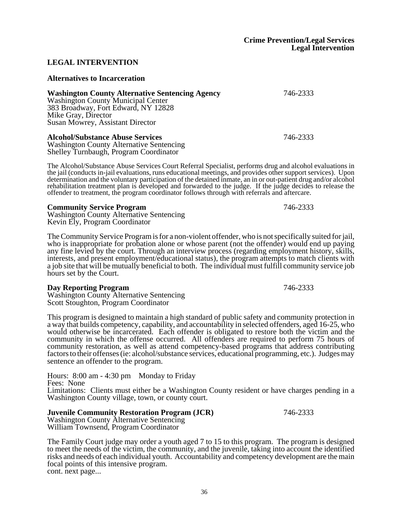#### **LEGAL INTERVENTION**

**Alternatives to Incarceration**

#### **Washington County Alternative Sentencing Agency** 746-2333 Washington County Municipal Center 383 Broadway, Fort Edward, NY 12828 Mike Gray, Director Susan Mowrey, Assistant Director **Alcohol/Substance Abuse Services** 746-2333 Washington County Alternative Sentencing Shelley Turnbaugh, Program Coordinator

The Alcohol/Substance Abuse Services Court Referral Specialist, performs drug and alcohol evaluations in the jail (conducts in-jail evaluations, runs educational meetings, and provides other support services). Upon determination and the voluntary participation of the detained inmate, an in or out-patient drug and/or alcohol rehabilitation treatment plan is developed and forwarded to the judge. If the judge decides to release the offender to treatment, the program coordinator follows through with referrals and aftercare.

#### **Community Service Program** 746-2333

Washington County Alternative Sentencing Kevin Ely, Program Coordinator

The Community Service Program is for a non-violent offender, who is not specifically suited for jail, who is inappropriate for probation alone or whose parent (not the offender) would end up paying any fine levied by the court. Through an interview process (regarding employment history, skills, interests, and present employment/educational status), the program attempts to match clients with a job site that will be mutually beneficial to both. The individual must fulfill community service job hours set by the Court.

#### **Day Reporting Program** 746-2333

Washington County Alternative Sentencing Scott Stoughton, Program Coordinator

This program is designed to maintain a high standard of public safety and community protection in a way that builds competency, capability, and accountability in selected offenders, aged 16-25, who would otherwise be incarcerated. Each offender is obligated to restore both the victim and the community in which the offense occurred. All offenders are required to perform 75 hours of community restoration, as well as attend competency-based programs that address contributing factors to their offenses (ie: alcohol/substance services, educational programming, etc.). Judges may sentence an offender to the program.

Hours: 8:00 am - 4:30 pm Monday to Friday Fees: None Limitations: Clients must either be a Washington County resident or have charges pending in a Washington County village, town, or county court.

#### **Juvenile Community Restoration Program (JCR)** 746-2333

Washington County Alternative Sentencing William Townsend, Program Coordinator

The Family Court judge may order a youth aged 7 to 15 to this program. The program is designed to meet the needs of the victim, the community, and the juvenile, taking into account the identified risks and needs of each individual youth. Accountability and competency development are the main focal points of this intensive program. cont. next page...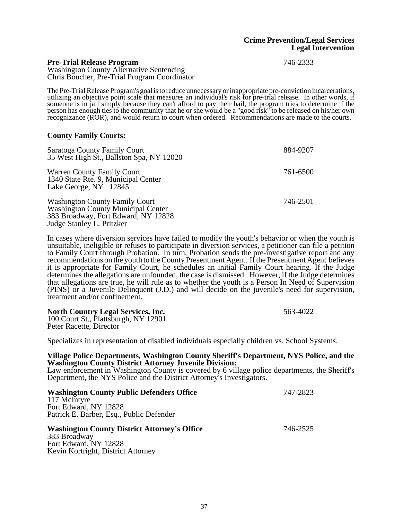**Pre-Trial Release Program** 746-2333 Washington County Alternative Sentencing Chris Boucher, Pre-Trial Program Coordinator

The Pre-Trial Release Program's goal is to reduce unnecessary or inappropriate pre-conviction incarcerations, utilizing an objective point scale that measures an individual's risk for pre-trial release. In other words, if someone is in jail simply because they can't afford to pay their bail, the program tries to determine if the person has enough ties to the community that he or she would be a "good risk" to be released on his/her own recognizance (ROR), and would return to court when ordered. Recommendations are made to the courts.

#### **County Family Courts:**

| Saratoga County Family Court<br>35 West High St., Ballston Spa, NY 12020                                                                               | 884-9207 |
|--------------------------------------------------------------------------------------------------------------------------------------------------------|----------|
| Warren County Family Court<br>1340 State Rte. 9, Municipal Center<br>Lake George, NY 12845                                                             | 761-6500 |
| <b>Washington County Family Court</b><br><b>Washington County Municipal Center</b><br>383 Broadway, Fort Edward, NY 12828<br>Judge Stanley L. Pritzker | 746-2501 |

In cases where diversion services have failed to modify the youth's behavior or when the youth is unsuitable, ineligible or refuses to participate in diversion services, a petitioner can file a petition to Family Court through Probation. In turn, Probation sends the pre-investigative report and any recommendations on the youth to the County Presentment Agent. If the Presentment Agent believes

it is appropriate for Family Court, he schedules an initial Family Court hearing. If the Judge determines the allegations are unfounded, the case is dismissed. However, if the Judge determines that allegations are true, he will rule as to whether the youth is a Person In Need of Supervision (PINS) or a Juvenile Delinquent (J.D.) and will decide on the juvenile's need for supervision, treatment and/or confinement.

| <b>North Country Legal Services, Inc.</b> | 563-4022 |
|-------------------------------------------|----------|
| 100 Court St., Plattsburgh, NY 12901      |          |
| Peter Racette, Director                   |          |

Specializes in representation of disabled individuals especially children vs. School Systems.

#### **Village Police Departments, Washington County Sheriff's Department, NYS Police, and the Washington County District Attorney Juvenile Division:**

Law enforcement in Washington County is covered by 6 village police departments, the Sheriff's Department, the NYS Police and the District Attorney's Investigators.

| <b>Washington County Public Defenders Office</b>    | 747-2823 |
|-----------------------------------------------------|----------|
| 117 McIntyre                                        |          |
| Fort Edward, NY 12828                               |          |
| Patrick E. Barber, Esq., Public Defender            |          |
|                                                     |          |
| <b>Washington County District Attorney's Office</b> | 746-2525 |
|                                                     |          |
|                                                     |          |
| 383 Broadway<br>Fort Edward, NY 12828               |          |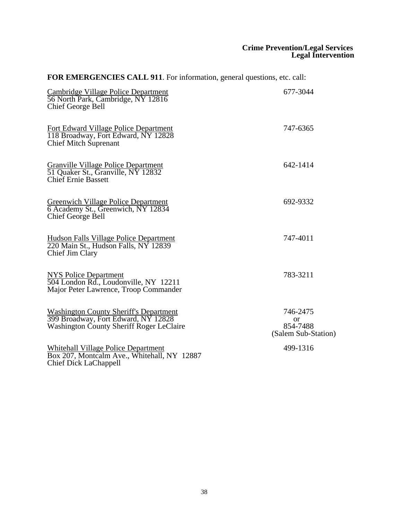#### **Crime Prevention/Legal Services Legal Intervention**

# **FOR EMERGENCIES CALL 911**. For information, general questions, etc. call:

| Cambridge Village Police Department<br>56 North Park, Cambridge, NY 12816<br>Chief George Bell                            | 677-3044                                                 |
|---------------------------------------------------------------------------------------------------------------------------|----------------------------------------------------------|
| <b>Fort Edward Village Police Department</b><br>118 Broadway, Fort Edward, NY 12828<br><b>Chief Mitch Suprenant</b>       | 747-6365                                                 |
| <b>Granville Village Police Department</b><br>51 Quaker St., Granville, NY 12832<br><b>Chief Ernie Bassett</b>            | 642-1414                                                 |
| Greenwich Village Police Department<br>6 Academy St., Greenwich, NY 12834<br>Chief George Bell                            | 692-9332                                                 |
| <b>Hudson Falls Village Police Department</b><br>220 Main St., Hudson Falls, NY 12839<br>Chief Jim Clary                  | 747-4011                                                 |
| <b>NYS Police Department</b><br>504 London Rd., Loudonville, NY 12211<br>Major Peter Lawrence, Troop Commander            | 783-3211                                                 |
| Washington County Sheriff's Department<br>399 Broadway, Fort Edward, NY 12828<br>Washington County Sheriff Roger LeClaire | 746-2475<br><b>or</b><br>854-7488<br>(Salem Sub-Station) |
| <b>Whitehall Village Police Department</b><br>Box 207, Montcalm Ave., Whitehall, NY 12887<br><b>Chief Dick LaChappell</b> | 499-1316                                                 |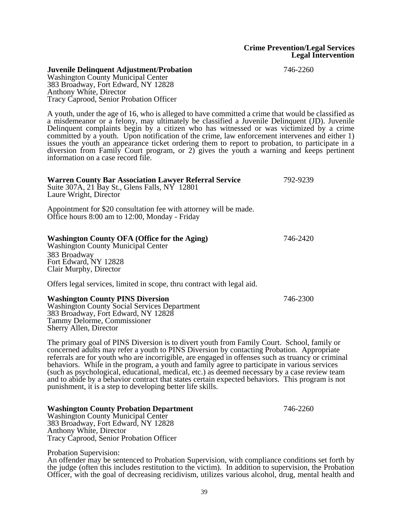#### **Crime Prevention/Legal Services Legal Intervention**

**Juvenile Delinquent Adjustment/Probation** 746-2260

Washington County Municipal Center 383 Broadway, Fort Edward, NY 12828 Anthony White, Director Tracy Caprood, Senior Probation Officer

A youth, under the age of 16, who is alleged to have committed a crime that would be classified as a misdemeanor or a felony, may ultimately be classified a Juvenile Delinquent (JD). Juvenile Delinquent complaints begin by a citizen who has witnessed or was victimized by a crime committed by a youth. Upon notification of the crime, law enforcement intervenes and either 1) issues the youth an appearance ticket ordering them to report to probation, to participate in a diversion from Family Court program, or 2) gives the youth a warning and keeps pertinent information on a case record file.

# Suite 307A, 21 Bay St., Glens Falls, NY 12801 Laure Wright, Director Appointment for \$20 consultation fee with attorney will be made. Office hours 8:00 am to 12:00, Monday - Friday

**Warren County Bar Association Lawyer Referral Service** 792-9239

# **Washington County OFA (Office for the Aging)** 746-2420

Washington County Municipal Center 383 Broadway Fort Edward, NY 12828 Clair Murphy, Director

Offers legal services, limited in scope, thru contract with legal aid.

#### **Washington County PINS Diversion** 746-2300

Washington County Social Services Department 383 Broadway, Fort Edward, NY 12828 Tammy Delorme, Commissioner Sherry Allen, Director

The primary goal of PINS Diversion is to divert youth from Family Court. School, family or concerned adults may refer a youth to PINS Diversion by contacting Probation. Appropriate referrals are for youth who are incorrigible, are engaged in offenses such as truancy or criminal behaviors. While in the program, a youth and family agree to participate in various services (such as psychological, educational, medical, etc.) as deemed necessary by a case review team and to abide by a behavior contract that states certain expected behaviors. This program is not punishment, it is a step to developing better life skills.

#### **Washington County Probation Department** 746-2260

Washington County Municipal Center 383 Broadway, Fort Edward, NY 12828 Anthony White, Director Tracy Caprood, Senior Probation Officer

Probation Supervision:

An offender may be sentenced to Probation Supervision, with compliance conditions set forth by the judge (often this includes restitution to the victim). In addition to supervision, the Probation Officer, with the goal of decreasing recidivism, utilizes various alcohol, drug, mental health and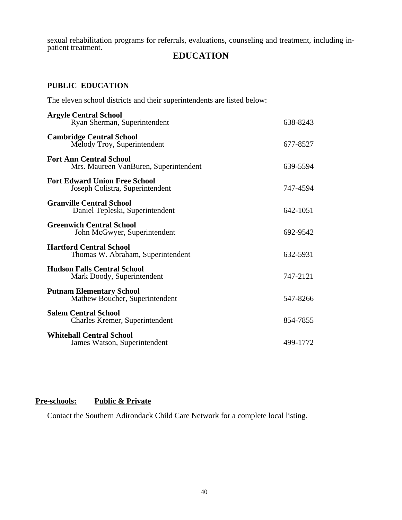sexual rehabilitation programs for referrals, evaluations, counseling and treatment, including inpatient treatment.

# **EDUCATION**

# **PUBLIC EDUCATION**

The eleven school districts and their superintendents are listed below:

| <b>Argyle Central School</b><br>Ryan Sherman, Superintendent            | 638-8243 |
|-------------------------------------------------------------------------|----------|
| <b>Cambridge Central School</b><br>Melody Troy, Superintendent          | 677-8527 |
| <b>Fort Ann Central School</b><br>Mrs. Maureen VanBuren, Superintendent | 639-5594 |
| <b>Fort Edward Union Free School</b><br>Joseph Colistra, Superintendent | 747-4594 |
| <b>Granville Central School</b><br>Daniel Tepleski, Superintendent      | 642-1051 |
| <b>Greenwich Central School</b><br>John McGwyer, Superintendent         | 692-9542 |
| <b>Hartford Central School</b><br>Thomas W. Abraham, Superintendent     | 632-5931 |
| <b>Hudson Falls Central School</b><br>Mark Doody, Superintendent        | 747-2121 |
| <b>Putnam Elementary School</b><br>Mathew Boucher, Superintendent       | 547-8266 |
| <b>Salem Central School</b><br>Charles Kremer, Superintendent           | 854-7855 |
| <b>Whitehall Central School</b><br>James Watson, Superintendent         | 499-1772 |

#### **Pre-schools: Public & Private**

Contact the Southern Adirondack Child Care Network for a complete local listing.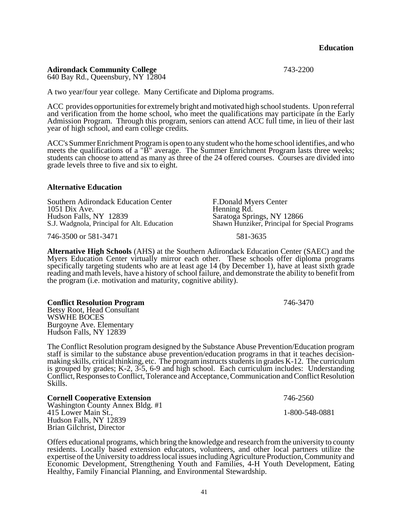**Education**

**Adirondack Community College** 743-2200

640 Bay Rd., Queensbury, NY 12804

A two year/four year college. Many Certificate and Diploma programs.

ACC provides opportunities for extremely bright and motivated high school students. Upon referral and verification from the home school, who meet the qualifications may participate in the Early Admission Program. Through this program, seniors can attend ACC full time, in lieu of their last year of high school, and earn college credits.

ACC's Summer Enrichment Program is open to any student who the home school identifies, and who meets the qualifications of a "B" average. The Summer Enrichment Program lasts three weeks; students can choose to attend as many as three of the 24 offered courses. Courses are divided into grade levels three to five and six to eight.

#### **Alternative Education**

Southern Adirondack Education Center<br>
1051 Dix Ave.<br>
Henning Rd. 1051 Dix Ave.<br>Hudson Falls, NY 12839 Hudson Falls, NY 12839<br>
S. Wadgnola, Principal for Alt. Education<br>
Shawn Hunziker, Principal for Shawn Hunziker, Principal for Shawn

746-3500 or 581-3471 581-3635

**Alternative High Schools** (AHS) at the Southern Adirondack Education Center (SAEC) and the Myers Education Center virtually mirror each other. These schools offer diploma programs specifically targeting students who are at least age 14 (by December 1), have at least sixth grade reading and math levels, have a history of school failure, and demonstrate the ability to benefit from the program (i.e. motivation and maturity, cognitive ability).

**Conflict Resolution Program** 746-3470

Betsy Root, Head Consultant WSWHE BOCES Burgoyne Ave. Elementary Hudson Falls, NY 12839

The Conflict Resolution program designed by the Substance Abuse Prevention/Education program staff is similar to the substance abuse prevention/education programs in that it teaches decisionmaking skills, critical thinking, etc. The program instructs students in grades K-12. The curriculum is grouped by grades; K-2, 3-5, 6-9 and high school. Each curriculum includes: Understanding Conflict, Responses to Conflict, Tolerance and Acceptance, Communication and Conflict Resolution Skills.

**Cornell Cooperative Extension** 746-2560 Washington County Annex Bldg. #1 415 Lower Main St., 1-800-548-0881 Hudson Falls, NY 12839 Brian Gilchrist, Director

Offers educational programs, which bring the knowledge and research from the university to county residents. Locally based extension educators, volunteers, and other local partners utilize the expertise of the University to address local issues including Agriculture Production, Community and Economic Development, Strengthening Youth and Families, 4-H Youth Development, Eating Healthy, Family Financial Planning, and Environmental Stewardship.

Shawn Hunziker, Principal for Special Programs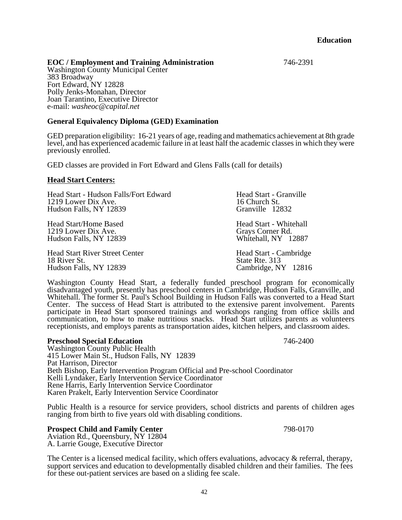**Education**

**EOC / Employment and Training Administration** 746-2391

Washington County Municipal Center 383 Broadway Fort Edward, NY 12828 Polly Jenks-Monahan, Director Joan Tarantino, Executive Director e-mail: *washeoc@capital.net*

#### **General Equivalency Diploma (GED) Examination**

GED preparation eligibility: 16-21 years of age, reading and mathematics achievement at 8th grade level, and has experienced academic failure in at least half the academic classes in which they were previously enrolled.

GED classes are provided in Fort Edward and Glens Falls (call for details)

#### **Head Start Centers:**

| Head Start - Hudson Falls/Fort Edward | Head Start - Granville |
|---------------------------------------|------------------------|
| 1219 Lower Dix Ave.                   | 16 Church St.          |
| Hudson Falls, NY 12839                | Granville 12832        |
| <b>Head Start/Home Based</b>          | Head Start - Whitehall |
| 1219 Lower Dix Ave.                   | Grays Corner Rd.       |
| Hudson Falls, NY 12839                | Whitehall, NY 12887    |
| <b>Head Start River Street Center</b> | Head Start - Cambridge |
| 18 River St.                          | State Rte. 313         |
| Hudson Falls, NY 12839                | Cambridge, NY 12816    |

Washington County Head Start, a federally funded preschool program for economically disadvantaged youth, presently has preschool centers in Cambridge, Hudson Falls, Granville, and Whitehall. The former St. Paul's School Building in Hudson Falls was converted to a Head Start Center. The success of Head Start is attributed to the extensive parent involvement. Parents participate in Head Start sponsored trainings and workshops ranging from office skills and communication, to how to make nutritious snacks. Head Start utilizes parents as volunteers receptionists, and employs parents as transportation aides, kitchen helpers, and classroom aides.

**Preschool Special Education** 746-2400 Washington County Public Health 415 Lower Main St., Hudson Falls, NY 12839 Pat Harrison, Director Beth Bishop, Early Intervention Program Official and Pre-school Coordinator Kelli Lyndaker, Early Intervention Service Coordinator Rene Harris, Early Intervention Service Coordinator Karen Prakelt, Early Intervention Service Coordinator

Public Health is a resource for service providers, school districts and parents of children ages ranging from birth to five years old with disabling conditions.

#### **Prospect Child and Family Center** 798-0170

Aviation Rd., Queensbury, NY 12804 A. Larrie Gouge, Executive Director

The Center is a licensed medical facility, which offers evaluations, advocacy & referral, therapy, support services and education to developmentally disabled children and their families. The fees for these out-patient services are based on a sliding fee scale.

42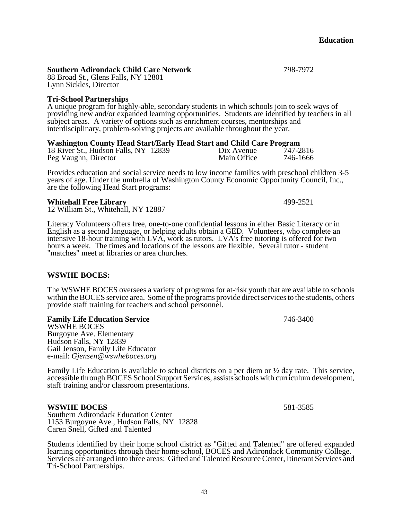**Education**

**Southern Adirondack Child Care Network** 798-7972

88 Broad St., Glens Falls, NY 12801 Lynn Sickles, Director

#### **Tri-School Partnerships**

A unique program for highly-able, secondary students in which schools join to seek ways of providing new and/or expanded learning opportunities. Students are identified by teachers in all subject areas. A variety of options such as enrichment courses, mentorships and interdisciplinary, problem-solving projects are available throughout the year.

#### **Washington County Head Start/Early Head Start and Child Care Program**

| 18 River St., Hudson Falls, NY 12839 | Dix Avenue  | 747-2816 |
|--------------------------------------|-------------|----------|
| Peg Vaughn, Director                 | Main Office | 746-1666 |

Provides education and social service needs to low income families with preschool children 3-5 years of age. Under the umbrella of Washington County Economic Opportunity Council, Inc., are the following Head Start programs:

#### **Whitehall Free Library** 499-2521

12 William St., Whitehall, NY 12887

Literacy Volunteers offers free, one-to-one confidential lessons in either Basic Literacy or in English as a second language, or helping adults obtain a GED. Volunteers, who complete an intensive 18-hour training with LVA, work as tutors. LVA's free tutoring is offered for two hours a week. The times and locations of the lessons are flexible. Several tutor - student "matches" meet at libraries or area churches.

#### **WSWHE BOCES:**

The WSWHE BOCES oversees a variety of programs for at-risk youth that are available to schools within the BOCES service area. Some of the programs provide direct services to the students, others provide staff training for teachers and school personnel.

**Family Life Education Service** 746-3400

WSWHE BOCES Burgoyne Ave. Elementary Hudson Falls, NY 12839 Gail Jenson, Family Life Educator e-mail: *Gjensen@wswheboces.org*

Family Life Education is available to school districts on a per diem or ½ day rate. This service, accessible through BOCES School Support Services, assists schools with curriculum development, staff training and/or classroom presentations.

# **WSWHE BOCES** 581-3585

Southern Adirondack Education Center 1153 Burgoyne Ave., Hudson Falls, NY 12828 Caren Snell, Gifted and Talented

Students identified by their home school district as "Gifted and Talented" are offered expanded learning opportunities through their home school, BOCES and Adirondack Community College. Services are arranged into three areas: Gifted and Talented Resource Center, Itinerant Services and Tri-School Partnerships.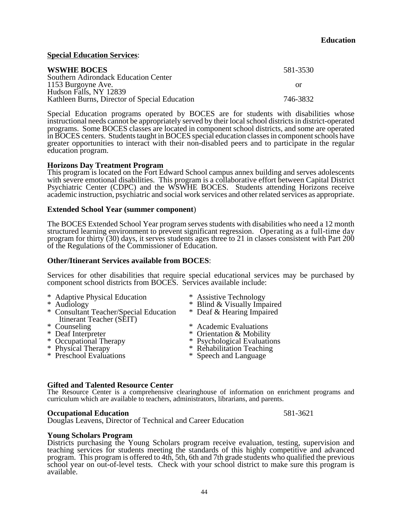#### **Special Education Services**:

| <b>WSWHE BOCES</b>                            | 581-3530 |
|-----------------------------------------------|----------|
| Southern Adirondack Education Center          |          |
| 1153 Burgoyne Ave.                            | or       |
| Hudson Falls, NY 12839                        | 746-3832 |
| Kathleen Burns, Director of Special Education |          |

Special Education programs operated by BOCES are for students with disabilities whose instructional needs cannot be appropriately served by their local school districts in district-operated programs. Some BOCES classes are located in component school districts, and some are operated in BOCES centers. Students taught in BOCES special education classes in component schools have greater opportunities to interact with their non-disabled peers and to participate in the regular education program.

#### **Horizons Day Treatment Program**

This program is located on the Fort Edward School campus annex building and serves adolescents with severe emotional disabilities. This program is a collaborative effort between Capital District Psychiatric Center (CDPC) and the WSWHE BOCES. Students attending Horizons receive academic instruction, psychiatric and social work services and other related services as appropriate.

#### **Extended School Year (summer component**)

The BOCES Extended School Year program serves students with disabilities who need a 12 month structured learning environment to prevent significant regression. Operating as a full-time day program for thirty (30) days, it serves students ages three to 21 in classes consistent with Part 200 of the Regulations of the Commissioner of Education.

#### **Other/Itinerant Services available from BOCES**:

Services for other disabilities that require special educational services may be purchased by component school districts from BOCES. Services available include:

- \* Adaptive Physical Education \* \* Assistive Technology<br>
\* Audiology \* \* Blind & Visually Impa
- 
- \* Consultant Teacher/Special Education \* Deaf & Hearing Impaired Itinerant Teacher (SEIT)
- 
- 
- 
- 
- 
- 
- $*$  Blind & Visually Impaired
- 
- 
- \* Counseling \* Academic Evaluations<br>
\* Deaf Interpreter \* Trientation & Mobility
- \* Deaf Interpreter \* \* Orientation & Mobility<br>
\* Occupational Therapy \* \* Psychological Evaluation
- \* Occupational Therapy \* \* Psychological Evaluations<br>
\* Physical Therapy \* \* Rehabilitation Teaching \* Physical Therapy<br>
\* Preschool Evaluations<br>
\* Speech and Language
	- \* Speech and Language

#### **Gifted and Talented Resource Center**

The Resource Center is a comprehensive clearinghouse of information on enrichment programs and curriculum which are available to teachers, administrators, librarians, and parents.

#### **Occupational Education** 581-3621

Douglas Leavens, Director of Technical and Career Education

#### **Young Scholars Program**

Districts purchasing the Young Scholars program receive evaluation, testing, supervision and teaching services for students meeting the standards of this highly competitive and advanced program. This program is offered to 4th, 5th, 6th and 7th grade students who qualified the previous school year on out-of-level tests. Check with your school district to make sure this program is available.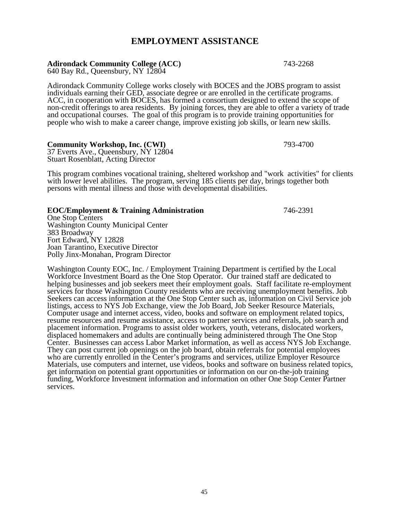# **EMPLOYMENT ASSISTANCE**

# **Adirondack Community College (ACC)** 743-2268

640 Bay Rd., Queensbury, NY 12804

Adirondack Community College works closely with BOCES and the JOBS program to assist individuals earning their GED, associate degree or are enrolled in the certificate programs. ACC, in cooperation with BOCES, has formed a consortium designed to extend the scope of non-credit offerings to area residents. By joining forces, they are able to offer a variety of trade and occupational courses. The goal of this program is to provide training opportunities for people who wish to make a career change, improve existing job skills, or learn new skills.

#### **Community Workshop, Inc. (CWI)** 793-4700

37 Everts Ave., Queensbury, NY 12804 Stuart Rosenblatt, Acting Director

This program combines vocational training, sheltered workshop and "work activities" for clients with lower level abilities. The program, serving 185 clients per day, brings together both persons with mental illness and those with developmental disabilities.

#### **EOC/Employment & Training Administration** 746-2391

One Stop Centers Washington County Municipal Center 383 Broadway Fort Edward, NY 12828 Joan Tarantino, Executive Director

Washington County EOC, Inc. / Employment Training Department is certified by the Local Workforce Investment Board as the One Stop Operator. Our trained staff are dedicated to helping businesses and job seekers meet their employment goals. Staff facilitate re-employment services for those Washington County residents who are receiving unemployment benefits. Job Seekers can access information at the One Stop Center such as, information on Civil Service job listings, access to NYS Job Exchange, view the Job Board, Job Seeker Resource Materials, Computer usage and internet access, video, books and software on employment related topics, resume resources and resume assistance, access to partner services and referrals, job search and placement information. Programs to assist older workers, youth, veterans, dislocated workers, displaced homemakers and adults are continually being administered through The One Stop Center. Businesses can access Labor Market information, as well as access NYS Job Exchange. They can post current job openings on the job board, obtain referrals for potential employees who are currently enrolled in the Center's programs and services, utilize Employer Resource Materials, use computers and internet, use videos, books and software on business related topics, get information on potential grant opportunities or information on our on-the-job training funding, Workforce Investment information and information on other One Stop Center Partner services.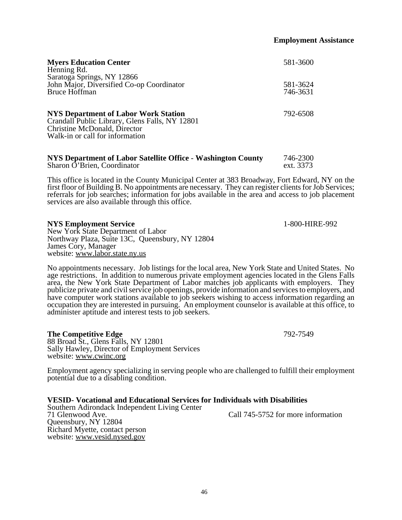46

 **Employment Assistance**

| <b>Myers Education Center</b><br>Henning Rd.                                                                                                                     | 581-3600             |
|------------------------------------------------------------------------------------------------------------------------------------------------------------------|----------------------|
| Saratoga Springs, NY 12866<br>John Major, Diversified Co-op Coordinator<br>Bruce Hoffman                                                                         | 581-3624<br>746-3631 |
| <b>NYS Department of Labor Work Station</b><br>Crandall Public Library, Glens Falls, NY 12801<br>Christine McDonald, Director<br>Walk-in or call for information | 792-6508             |
|                                                                                                                                                                  |                      |

**NYS Department of Labor Satellite Office - Washington County** 746-2300<br>Sharon O'Brien, Coordinator and the part of the ext. 3373 Sharon  $\tilde{\mathrm{O}}$ 'Brien, Coordinator

This office is located in the County Municipal Center at 383 Broadway, Fort Edward, NY on the first floor of Building B. No appointments are necessary. They can register clients for Job Services; referrals for job searches; information for jobs available in the area and access to job placement services are also available through this office.

#### **NYS Employment Service** 1-800-HIRE-992

New York State Department of Labor Northway Plaza, Suite 13C, Queensbury, NY 12804 James Cory, Manager website: www.labor.state.ny.us

No appointments necessary. Job listings for the local area, New York State and United States. No age restrictions. In addition to numerous private employment agencies located in the Glens Falls area, the New York State Department of Labor matches job applicants with employers. They publicize private and civil service job openings, provide information and services to employers, and have computer work stations available to job seekers wishing to access information regarding an occupation they are interested in pursuing. An employment counselor is available at this office, to administer aptitude and interest tests to job seekers.

#### **The Competitive Edge** 792-7549

88 Broad St., Glens Falls, NY 12801 Sally Hawley, Director of Employment Services website: www.cwinc.org

Employment agency specializing in serving people who are challenged to fulfill their employment potential due to a disabling condition.

| <b>VESID- Vocational and Educational Services for Individuals with Disabilities</b> |                                    |
|-------------------------------------------------------------------------------------|------------------------------------|
| Southern Adirondack Independent Living Center                                       |                                    |
| 71 Glenwood Ave.                                                                    | Call 745-5752 for more information |
| Queensbury, NY 12804                                                                |                                    |
| Richard Myette, contact person                                                      |                                    |
| website: www.vesid.nysed.gov                                                        |                                    |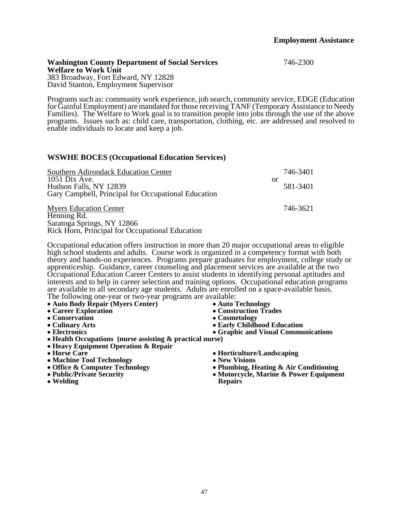#### **Washington County Department of Social Services** 746-2300 **Welfare to Work Unit** 383 Broadway, Fort Edward, NY 12828 David Stanton, Employment Supervisor

Programs such as: community work experience, job search, community service, EDGE (Education for Gainful Employment) are mandated for those receiving TANF (Temporary Assistance to Needy Families). The Welfare to Work goal is to transition people into jobs through the use of the above programs. Issues such as: child care, transportation, clothing, etc. are addressed and resolved to enable individuals to locate and keep a job.

#### **WSWHE BOCES (Occupational Education Services)**

Rick Horn, Principal for Occupational Education

| Southern Adirondack Education Center                |    | 746-3401 |
|-----------------------------------------------------|----|----------|
| $1051$ Dix Ave.                                     | or |          |
| Hudson Falls, NY 12839                              |    | 581-3401 |
| Gary Campbell, Principal for Occupational Education |    |          |
| <b>Myers Education Center</b>                       |    | 746-3621 |
| Henning Rd.                                         |    |          |
| Saratoga Springs, NY 12866                          |    |          |

Occupational education offers instruction in more than 20 major occupational areas to eligible high school students and adults. Course work is organized in a competency format with both theory and hands-on experiences. Programs prepare graduates for employment, college study or apprenticeship. Guidance, career counseling and placement services are available at the two Occupational Education Career Centers to assist students in identifying personal aptitudes and interests and to help in career selection and training options. Occupational education programs are available to all secondary age students. Adults are enrolled on a space-available basis. The following one-year or two-year programs are available:<br>• Auto Body Repair (Myers Center) • Auto Technology

- 
- 
- 
- 
- 
- Auto Body Repair (Myers Center)<br>
 Career Exploration<br>
 Construction Trades<br>
 Conservation<br>
 Culinary Arts<br>
 Electronics<br>
 Health Occupations (nurse assisting & practical nurse)<br>
 Health Occupations (nurse assistin
- • **Heavy Equipment Operation & Repair**
- 
- 
- 
- 
- 
- 
- 
- 
- 
- 
- 
- 
- 
- Horse Care<br>
 Machine Tool Technology<br>
 Office & Computer Technology<br>
 Pumbing, Heating & Air Conditioning<br>
 Public/Private Security<br>
 Welding<br>
 Welding<br>
 Welding<br>
 Welding<br>
 Welding<br>
 Welding<br>
 Welding<br>
 Weld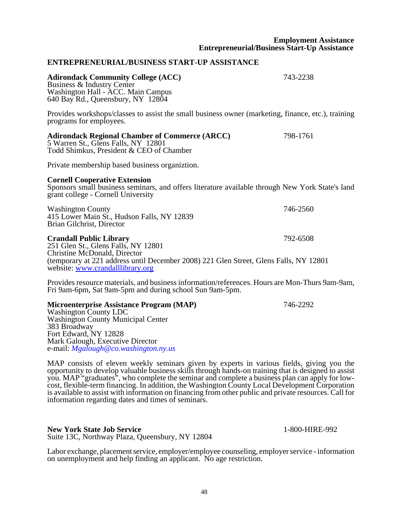| <b>Adirondack Community College (ACC)</b><br>Business & Industry Center<br>Washington Hall - ACC. Main Campus<br>640 Bay Rd., Queensbury, NY 12804                                                                                                | 743-2238 |
|---------------------------------------------------------------------------------------------------------------------------------------------------------------------------------------------------------------------------------------------------|----------|
| Provides workshops/classes to assist the small business owner (marketing, finance, etc.), training<br>programs for employees.                                                                                                                     |          |
| <b>Adirondack Regional Chamber of Commerce (ARCC)</b><br>5 Warren St., Glens Falls, NY 12801<br>Todd Shimkus, President & CEO of Chamber                                                                                                          | 798-1761 |
| Private membership based business organiztion.                                                                                                                                                                                                    |          |
| <b>Cornell Cooperative Extension</b><br>Sponsors small business seminars, and offers literature available through New York State's land<br>grant college - Cornell University                                                                     |          |
| <b>Washington County</b><br>415 Lower Main St., Hudson Falls, NY 12839<br>Brian Gilchrist, Director                                                                                                                                               | 746-2560 |
| <b>Crandall Public Library</b><br>251 Glen St., Glens Falls, NY 12801<br>Christine McDonald, Director<br>(temporary at 221 address until December 2008) 221 Glen Street, Glens Falls, NY 12801<br>website: www.crandalllibrary.org                | 792-6508 |
| Provides resource materials, and business information/references. Hours are Mon-Thurs 9am-9am,<br>Fri 9am-6pm, Sat 9am-5pm and during school Sun 9am-5pm.                                                                                         |          |
| Microenterprise Assistance Program (MAP)<br><b>Washington County LDC</b><br><b>Washington County Municipal Center</b><br>383 Broadway<br>Fort Edward, NY 12828<br>Mark Galough, Executive Director<br>e-mail: <i>Mgalough@co.washington.ny.us</i> | 746-2292 |

**ENTREPRENEURIAL/BUSINESS START-UP ASSISTANCE**

MAP consists of eleven weekly seminars given by experts in various fields, giving you the opportunity to develop valuable business skills through hands-on training that is designed to assist you. MAP "graduates", who complete the seminar and complete a business plan can apply for lowcost, flexible-term financing. In addition, the Washington County Local Development Corporation is available to assist with information on financing from other public and private resources. Call for information regarding dates and times of seminars.

#### **New York State Job Service** 1-800-HIRE-992 Suite 13C, Northway Plaza, Queensbury, NY 12804

Labor exchange, placement service, employer/employee counseling, employer service - information on unemployment and help finding an applicant. No age restriction.

48

 **Employment Assistance**

 **Entrepreneurial/Business Start-Up Assistance**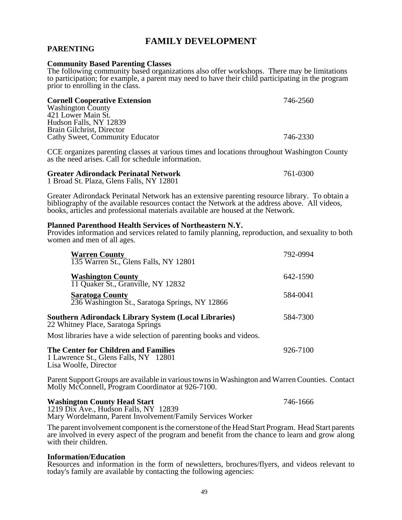# **FAMILY DEVELOPMENT**

#### **PARENTING**

#### **Community Based Parenting Classes**

The following community based organizations also offer workshops. There may be limitations to participation; for example, a parent may need to have their child participating in the program prior to enrolling in the class.

| <b>Cornell Cooperative Extension</b> | 746-2560 |
|--------------------------------------|----------|
| <b>Washington County</b>             |          |
| 421 Lower Main St.                   |          |
| Hudson Falls, NY 12839               |          |
| Brain Gilchrist, Director            |          |
| Cathy Sweet, Community Educator      | 746-2330 |
|                                      |          |

CCE organizes parenting classes at various times and locations throughout Washington County as the need arises. Call for schedule information.

| <b>Greater Adirondack Perinatal Network</b> | 761-0300 |
|---------------------------------------------|----------|
| 1 Broad St. Plaza, Glens Falls, NY 12801    |          |

Greater Adirondack Perinatal Network has an extensive parenting resource library. To obtain a bibliography of the available resources contact the Network at the address above. All videos, books, articles and professional materials available are housed at the Network.

#### **Planned Parenthood Health Services of Northeastern N.Y.**

Provides information and services related to family planning, reproduction, and sexuality to both women and men of all ages.

| <b>Warren County</b><br>135 Warren St., Glens Falls, NY 12801                                          | 792-0994 |
|--------------------------------------------------------------------------------------------------------|----------|
| <b>Washington County</b><br>11 Quaker St., Granville, NY 12832                                         | 642-1590 |
| Saratoga County<br>236 Washington St., Saratoga Springs, NY 12866                                      | 584-0041 |
| Southern Adirondack Library System (Local Libraries)<br>22 Whitney Place, Saratoga Springs             | 584-7300 |
| Most libraries have a wide selection of parenting books and videos.                                    |          |
| The Center for Children and Families<br>1 Lawrence St., Glens Falls, NY 12801<br>Lisa Woolfe, Director | 926-7100 |

Parent Support Groups are available in various towns in Washington and Warren Counties. Contact Molly McConnell, Program Coordinator at 926-7100.

| <b>Washington County Head Start</b>                        | 746-1666 |
|------------------------------------------------------------|----------|
| 1219 Dix Ave., Hudson Falls, NY 12839                      |          |
| Mary Wordelmann, Parent Involvement/Family Services Worker |          |

The parent involvement component is the cornerstone of the Head Start Program. Head Start parents are involved in every aspect of the program and benefit from the chance to learn and grow along with their children.

#### **Information/Education**

Resources and information in the form of newsletters, brochures/flyers, and videos relevant to today's family are available by contacting the following agencies: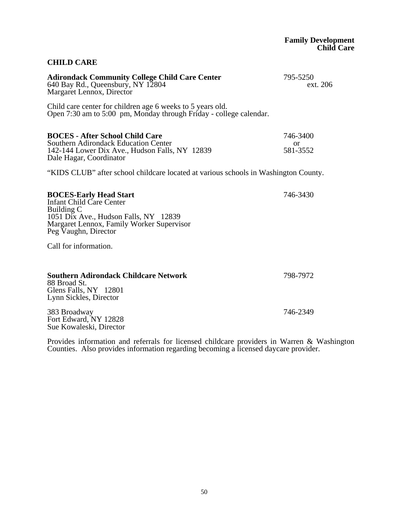| Southern Adirondack Education Center<br>142-144 Lower Dix Ave., Hudson Falls, NY 12839 | or<br>581-3552 |
|----------------------------------------------------------------------------------------|----------------|
| Dale Hagar, Coordinator                                                                |                |
| "KIDS CLUB" after school childcare located at various schools in Washington County.    |                |

**BOCES - After School Child Care** 746-3400

Open 7:30 am to 5:00 pm, Monday through Friday - college calendar.

**Adirondack Community College Child Care Center** 795-5250<br>640 Bay Rd., Oueensbury, NY 12804<br>ext. 206

**BOCES-Early Head Start** 746-3430

**CHILD CARE**

 $640$  Bay Rd., Queensbury, NY  $12804$ 

Child care center for children age 6 weeks to 5 years old.

Margaret Lennox, Director

Infant Child Care Center Building C 1051 Dix Ave., Hudson Falls, NY 12839 Margaret Lennox, Family Worker Supervisor Peg Vaughn, Director

Call for information.

**Southern Adirondack Childcare Network** 798-7972 88 Broad St.

Glens Falls, NY 12801 Lynn Sickles, Director

383 Broadway 746-2349 Fort Edward, NY 12828 Sue Kowaleski, Director

Provides information and referrals for licensed childcare providers in Warren & Washington Counties. Also provides information regarding becoming a licensed daycare provider.

**Family Development Child Care**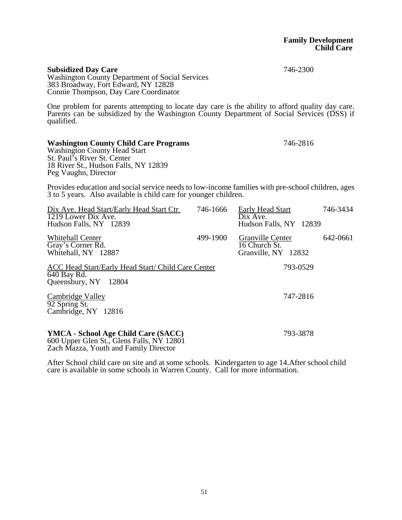# **Family Development Child Care**

**Subsidized Day Care** 746-2300 Washington County Department of Social Services 383 Broadway, Fort Edward, NY 12828 Connie Thompson, Day Care Coordinator

One problem for parents attempting to locate day care is the ability to afford quality day care. Parents can be subsidized by the Washington County Department of Social Services (DSS) if qualified.

#### **Washington County Child Care Programs** 746-2816

Washington County Head Start St. Paul's River St. Center 18 River St., Hudson Falls, NY 12839 Peg Vaughn, Director

Provides education and social service needs to low-income families with pre-school children, ages 3 to 5 years. Also available is child care for younger children.

| Dix Ave. Head Start/Early Head Start Ctr<br>1219 Lower Dix Ave.<br>Hudson Falls, NY 12839 | 746-1666 | Early Head Start<br>Dix Ave.<br>Hudson Falls, NY 12839          | 746-3434 |
|-------------------------------------------------------------------------------------------|----------|-----------------------------------------------------------------|----------|
| <b>Whitehall Center</b><br>Gray's Corner Rd.<br>Whitehall, NY 12887                       | 499-1900 | <b>Granville Center</b><br>16 Church St.<br>Granville, NY 12832 | 642-0661 |
| ACC Head Start/Early Head Start/ Child Care Center<br>640 Bay Rd.<br>Queensbury, NY 12804 |          | 793-0529                                                        |          |
| Cambridge Valley<br>92 Spring St.<br>Cambridge, NY 12816                                  |          | 747-2816                                                        |          |
| YMCA - School Age Child Care (SACC)<br>600 Upper Glen St., Glens Falls, NY 12801          |          | 793-3878                                                        |          |

Zach Mazza, Youth and Family Director

After School child care on site and at some schools. Kindergarten to age 14.After school child care is available in some schools in Warren County. Call for more information.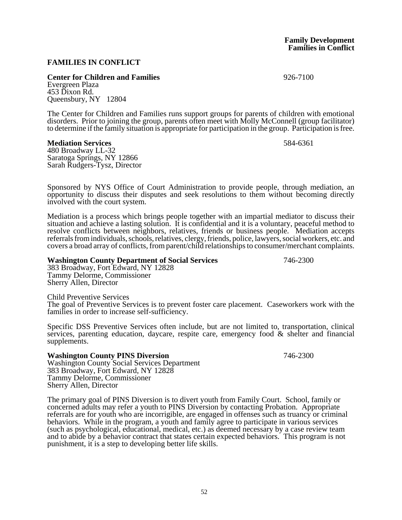52

#### **FAMILIES IN CONFLICT**

**Center for Children and Families** 926-7100

Evergreen Plaza 453 Dixon Rd. Queensbury, NY 12804

The Center for Children and Families runs support groups for parents of children with emotional disorders. Prior to joining the group, parents often meet with Molly McConnell (group facilitator) to determine if the family situation is appropriate for participation in the group. Participation is free.

#### **Mediation Services** 584-6361

480 Broadway LL-32 Saratoga Springs, NY 12866 Sarah Rudgers-Tysz, Director

Sponsored by NYS Office of Court Administration to provide people, through mediation, an opportunity to discuss their disputes and seek resolutions to them without becoming directly involved with the court system.

Mediation is a process which brings people together with an impartial mediator to discuss their situation and achieve a lasting solution. It is confidential and it is a voluntary, peaceful method to resolve conflicts between neighbors, relatives, friends or business people. Mediation accepts referrals from individuals, schools, relatives, clergy, friends, police, lawyers, social workers, etc. and covers a broad array of conflicts, from parent/child relationships to consumer/merchant complaints.

**Washington County Department of Social Services** 746-2300

383 Broadway, Fort Edward, NY 12828 Tammy Delorme, Commissioner Sherry Allen, Director

Child Preventive Services The goal of Preventive Services is to prevent foster care placement. Caseworkers work with the families in order to increase self-sufficiency.

Specific DSS Preventive Services often include, but are not limited to, transportation, clinical services, parenting education, daycare, respite care, emergency food & shelter and financial supplements.

**Washington County PINS Diversion** 746-2300 Washington County Social Services Department 383 Broadway, Fort Edward, NY 12828 Tammy Delorme, Commissioner Sherry Allen, Director

The primary goal of PINS Diversion is to divert youth from Family Court. School, family or concerned adults may refer a youth to PINS Diversion by contacting Probation. Appropriate referrals are for youth who are incorrigible, are engaged in offenses such as truancy or criminal behaviors. While in the program, a youth and family agree to participate in various services (such as psychological, educational, medical, etc.) as deemed necessary by a case review team and to abide by a behavior contract that states certain expected behaviors. This program is not punishment, it is a step to developing better life skills.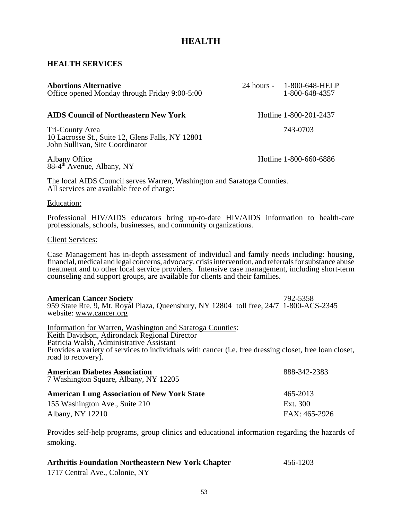# **HEALTH**

#### **HEALTH SERVICES**

| <b>Abortions Alternative</b><br>Office opened Monday through Friday 9:00-5:00                                         | 24 hours - 1-800-648-HELP<br>1-800-648-4357 |
|-----------------------------------------------------------------------------------------------------------------------|---------------------------------------------|
| <b>AIDS Council of Northeastern New York</b>                                                                          | Hotline 1-800-201-2437                      |
| Tri-County Area<br>10 Lacrosse St., Suite 12, Glens Falls, NY 12801<br>John Sullivan, Site Coordinator                | 743-0703                                    |
| Albany Office<br>88-4 <sup>th</sup> Avenue, Albany, NY                                                                | Hotline 1-800-660-6886                      |
| The local AIDS Council serves Warren, Washington and Saratoga Counties.<br>All services are available free of charge: |                                             |

Education:

Professional HIV/AIDS educators bring up-to-date HIV/AIDS information to health-care professionals, schools, businesses, and community organizations.

#### Client Services:

Case Management has in-depth assessment of individual and family needs including: housing, financial, medical and legal concerns, advocacy, crisis intervention, and referrals for substance abuse treatment and to other local service providers. Intensive case management, including short-term counseling and support groups, are available for clients and their families.

#### **American Cancer Society** 792-5358

959 State Rte. 9, Mt. Royal Plaza, Queensbury, NY 12804 toll free, 24/7 1-800-ACS-2345 website: www.cancer.org

Information for Warren, Washington and Saratoga Counties: Keith Davidson, Adirondack Regional Director Patricia Walsh, Administrative Assistant Provides a variety of services to individuals with cancer (i.e. free dressing closet, free loan closet,

| road to recovery).                                                            |               |
|-------------------------------------------------------------------------------|---------------|
| <b>American Diabetes Association</b><br>7 Washington Square, Albany, NY 12205 | 888-342-2383  |
| <b>American Lung Association of New York State</b>                            | 465-2013      |
| 155 Washington Ave., Suite 210                                                | Ext. 300      |
| Albany, NY 12210                                                              | FAX: 465-2926 |

Provides self-help programs, group clinics and educational information regarding the hazards of smoking.

| <b>Arthritis Foundation Northeastern New York Chapter</b> | 456-1203 |
|-----------------------------------------------------------|----------|
| 1717 Central Ave., Colonie, NY                            |          |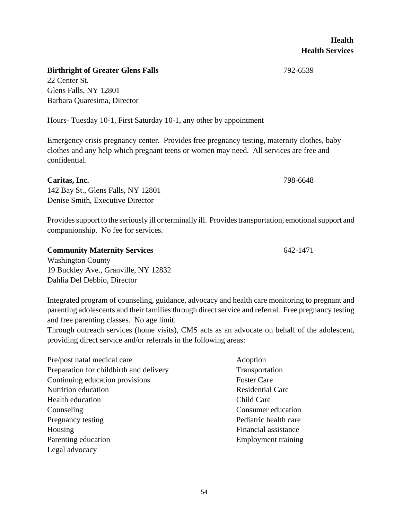**Birthright of Greater Glens Falls** 792-6539

22 Center St. Glens Falls, NY 12801 Barbara Quaresima, Director

Hours- Tuesday 10-1, First Saturday 10-1, any other by appointment

Emergency crisis pregnancy center. Provides free pregnancy testing, maternity clothes, baby clothes and any help which pregnant teens or women may need. All services are free and confidential.

#### **Caritas, Inc.** 798-6648

142 Bay St., Glens Falls, NY 12801 Denise Smith, Executive Director

Provides support to the seriously ill or terminally ill. Provides transportation, emotional support and companionship. No fee for services.

#### **Community Maternity Services** 642-1471

Washington County

19 Buckley Ave., Granville, NY 12832 Dahlia Del Debbio, Director

Integrated program of counseling, guidance, advocacy and health care monitoring to pregnant and parenting adolescents and their families through direct service and referral. Free pregnancy testing and free parenting classes. No age limit.

Through outreach services (home visits), CMS acts as an advocate on behalf of the adolescent, providing direct service and/or referrals in the following areas:

| Pre/post natal medical care             | Adoption                   |
|-----------------------------------------|----------------------------|
| Preparation for childbirth and delivery | Transportation             |
| Continuing education provisions         | <b>Foster Care</b>         |
| Nutrition education                     | <b>Residential Care</b>    |
| Health education                        | Child Care                 |
| Counseling                              | Consumer education         |
| Pregnancy testing                       | Pediatric health care      |
| Housing                                 | Financial assistance       |
| Parenting education                     | <b>Employment training</b> |
| Legal advocacy                          |                            |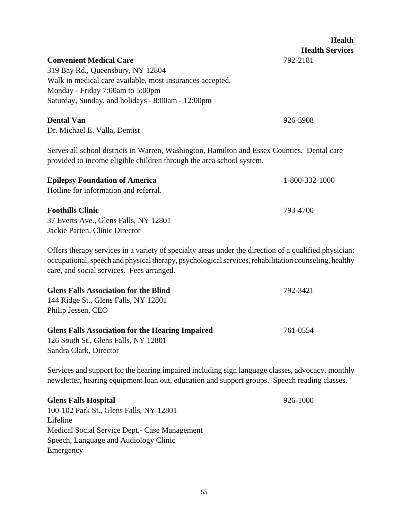| Monday - Friday 7:00am to 5:00pm<br>Saturday, Sunday, and holidays - 8:00am - 12:00pm                                                                                                                                                                 |                |
|-------------------------------------------------------------------------------------------------------------------------------------------------------------------------------------------------------------------------------------------------------|----------------|
| <b>Dental Van</b><br>Dr. Michael E. Valla, Dentist                                                                                                                                                                                                    | 926-5908       |
| Serves all school districts in Warren, Washington, Hamilton and Essex Counties. Dental care<br>provided to income eligible children through the area school system.                                                                                   |                |
| <b>Epilepsy Foundation of America</b><br>Hotline for information and referral.                                                                                                                                                                        | 1-800-332-1000 |
| <b>Foothills Clinic</b><br>37 Everts Ave., Glens Falls, NY 12801<br>Jackie Parten, Clinic Director                                                                                                                                                    | 793-4700       |
| Offers therapy services in a variety of specialty areas under the direction of a qualified physici<br>occupational, speech and physical therapy, psychological services, rehabilitation counseling, heal<br>care, and social services. Fees arranged. |                |
| <b>Glens Falls Association for the Blind</b><br>144 Ridge St., Glens Falls, NY 12801<br>Philip Jessen, CEO                                                                                                                                            | 792-3421       |
| <b>Glens Falls Association for the Hearing Impaired</b><br>126 South St., Glens Falls, NY 12801<br>Sandra Clark, Director                                                                                                                             | 761-0554       |
| Services and support for the hearing impaired including sign language classes, advocacy, mont<br>newsletter, hearing equipment loan out, education and support groups. Speech reading classes                                                         |                |
| <b>Glens Falls Hospital</b><br>100-102 Park St., Glens Falls, NY 12801                                                                                                                                                                                | 926-1000       |

**Convenient Medical Care** 792-2181

319 Bay Rd., Queensbury, NY 12804 Walk in medical care available, most insurances accepted.  **Health**

 **Health Services**

Lifeline Medical Social Service Dept.- Case Management Speech, Language and Audiology Clinic Emergency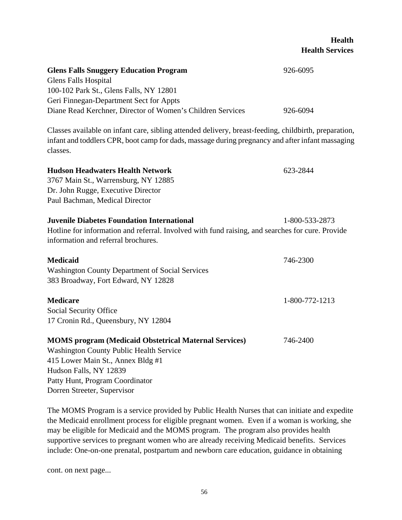## **Health Health Services**

| <b>Glens Falls Snuggery Education Program</b><br>Glens Falls Hospital<br>100-102 Park St., Glens Falls, NY 12801                                                                                                                                | 926-6095       |
|-------------------------------------------------------------------------------------------------------------------------------------------------------------------------------------------------------------------------------------------------|----------------|
| Geri Finnegan-Department Sect for Appts<br>Diane Read Kerchner, Director of Women's Children Services                                                                                                                                           | 926-6094       |
| Classes available on infant care, sibling attended delivery, breast-feeding, childbirth, preparation,<br>infant and toddlers CPR, boot camp for dads, massage during pregnancy and after infant massaging<br>classes.                           |                |
| <b>Hudson Headwaters Health Network</b><br>3767 Main St., Warrensburg, NY 12885<br>Dr. John Rugge, Executive Director<br>Paul Bachman, Medical Director                                                                                         | 623-2844       |
| <b>Juvenile Diabetes Foundation International</b><br>Hotline for information and referral. Involved with fund raising, and searches for cure. Provide<br>information and referral brochures.                                                    | 1-800-533-2873 |
| <b>Medicaid</b><br><b>Washington County Department of Social Services</b><br>383 Broadway, Fort Edward, NY 12828                                                                                                                                | 746-2300       |
| <b>Medicare</b><br>Social Security Office<br>17 Cronin Rd., Queensbury, NY 12804                                                                                                                                                                | 1-800-772-1213 |
| <b>MOMS</b> program (Medicaid Obstetrical Maternal Services)<br><b>Washington County Public Health Service</b><br>415 Lower Main St., Annex Bldg #1<br>Hudson Falls, NY 12839<br>Patty Hunt, Program Coordinator<br>Dorren Streeter, Supervisor | 746-2400       |

The MOMS Program is a service provided by Public Health Nurses that can initiate and expedite the Medicaid enrollment process for eligible pregnant women. Even if a woman is working, she may be eligible for Medicaid and the MOMS program. The program also provides health supportive services to pregnant women who are already receiving Medicaid benefits. Services include: One-on-one prenatal, postpartum and newborn care education, guidance in obtaining

cont. on next page...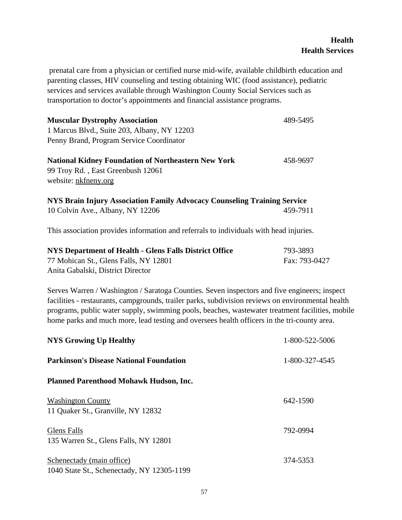prenatal care from a physician or certified nurse mid-wife, available childbirth education and parenting classes, HIV counseling and testing obtaining WIC (food assistance), pediatric services and services available through Washington County Social Services such as transportation to doctor's appointments and financial assistance programs.

| <b>Muscular Dystrophy Association</b>                                                  | 489-5495 |
|----------------------------------------------------------------------------------------|----------|
| 1 Marcus Blvd., Suite 203, Albany, NY 12203                                            |          |
| Penny Brand, Program Service Coordinator                                               |          |
| <b>National Kidney Foundation of Northeastern New York</b>                             | 458-9697 |
| 99 Troy Rd., East Greenbush 12061                                                      |          |
| website: nkfneny.org                                                                   |          |
| NYS Brain Injury Association Family Advocacy Counseling Training Service               |          |
| 10 Colvin Ave., Albany, NY 12206                                                       | 459-7911 |
| This association provides information and referrals to individuals with head injuries. |          |

| NYS Department of Health - Glens Falls District Office | 793-3893      |
|--------------------------------------------------------|---------------|
| 77 Mohican St., Glens Falls, NY 12801                  | Fax: 793-0427 |
| Anita Gabalski, District Director                      |               |

Serves Warren / Washington / Saratoga Counties. Seven inspectors and five engineers; inspect facilities - restaurants, campgrounds, trailer parks, subdivision reviews on environmental health programs, public water supply, swimming pools, beaches, wastewater treatment facilities, mobile home parks and much more, lead testing and oversees health officers in the tri-county area.

| <b>NYS Growing Up Healthy</b>                                           | 1-800-522-5006 |
|-------------------------------------------------------------------------|----------------|
| <b>Parkinson's Disease National Foundation</b>                          | 1-800-327-4545 |
| <b>Planned Parenthood Mohawk Hudson, Inc.</b>                           |                |
| <b>Washington County</b><br>11 Quaker St., Granville, NY 12832          | 642-1590       |
| Glens Falls<br>135 Warren St., Glens Falls, NY 12801                    | 792-0994       |
| Schenectady (main office)<br>1040 State St., Schenectady, NY 12305-1199 | 374-5353       |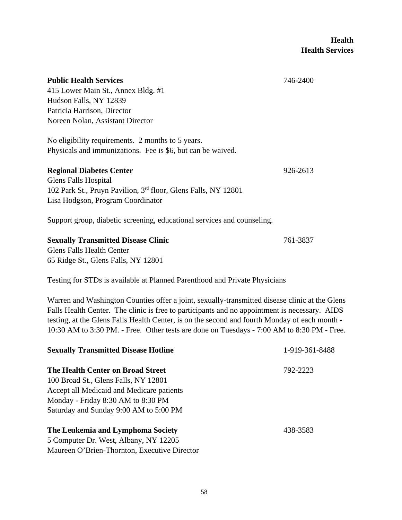| <b>Public Health Services</b><br>415 Lower Main St., Annex Bldg. #1<br>Hudson Falls, NY 12839<br>Patricia Harrison, Director<br>Noreen Nolan, Assistant Director      | 746-2400 |
|-----------------------------------------------------------------------------------------------------------------------------------------------------------------------|----------|
| No eligibility requirements. 2 months to 5 years.<br>Physicals and immunizations. Fee is \$6, but can be waived.                                                      |          |
| <b>Regional Diabetes Center</b><br><b>Glens Falls Hospital</b><br>102 Park St., Pruyn Pavilion, 3rd floor, Glens Falls, NY 12801<br>Lisa Hodgson, Program Coordinator | 926-2613 |
| Support group, diabetic screening, educational services and counseling.                                                                                               |          |

| <b>Sexually Transmitted Disease Clinic</b> | 761-3837 |
|--------------------------------------------|----------|
| Glens Falls Health Center                  |          |
| 65 Ridge St., Glens Falls, NY 12801        |          |

Testing for STDs is available at Planned Parenthood and Private Physicians

Warren and Washington Counties offer a joint, sexually-transmitted disease clinic at the Glens Falls Health Center. The clinic is free to participants and no appointment is necessary. AIDS testing, at the Glens Falls Health Center, is on the second and fourth Monday of each month - 10:30 AM to 3:30 PM. - Free. Other tests are done on Tuesdays - 7:00 AM to 8:30 PM - Free.

| <b>Sexually Transmitted Disease Hotline</b>  | 1-919-361-8488 |
|----------------------------------------------|----------------|
| The Health Center on Broad Street            | 792-2223       |
| 100 Broad St., Glens Falls, NY 12801         |                |
| Accept all Medicaid and Medicare patients    |                |
| Monday - Friday 8:30 AM to 8:30 PM           |                |
| Saturday and Sunday 9:00 AM to 5:00 PM       |                |
| The Leukemia and Lymphoma Society            | 438-3583       |
| 5 Computer Dr. West, Albany, NY 12205        |                |
| Maureen O'Brien-Thornton, Executive Director |                |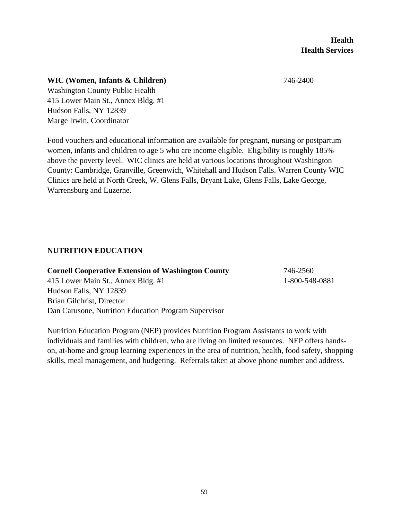#### **WIC (Women, Infants & Children)** 746-2400

Washington County Public Health 415 Lower Main St., Annex Bldg. #1 Hudson Falls, NY 12839 Marge Irwin, Coordinator

Food vouchers and educational information are available for pregnant, nursing or postpartum women, infants and children to age 5 who are income eligible. Eligibility is roughly 185% above the poverty level. WIC clinics are held at various locations throughout Washington County: Cambridge, Granville, Greenwich, Whitehall and Hudson Falls. Warren County WIC Clinics are held at North Creek, W. Glens Falls, Bryant Lake, Glens Falls, Lake George, Warrensburg and Luzerne.

### **NUTRITION EDUCATION**

## **Cornell Cooperative Extension of Washington County** 746-2560 415 Lower Main St., Annex Bldg. #1 1-800-548-0881 Hudson Falls, NY 12839 Brian Gilchrist, Director Dan Carusone, Nutrition Education Program Supervisor

Nutrition Education Program (NEP) provides Nutrition Program Assistants to work with individuals and families with children, who are living on limited resources. NEP offers handson, at-home and group learning experiences in the area of nutrition, health, food safety, shopping skills, meal management, and budgeting. Referrals taken at above phone number and address.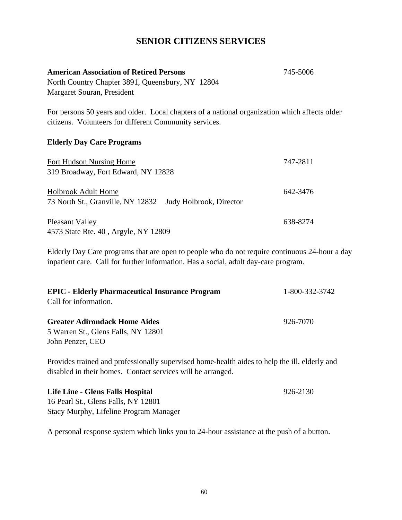# **SENIOR CITIZENS SERVICES**

| <b>American Association of Retired Persons</b>                                                                                                          | 745-5006 |
|---------------------------------------------------------------------------------------------------------------------------------------------------------|----------|
| North Country Chapter 3891, Queensbury, NY 12804                                                                                                        |          |
| Margaret Souran, President                                                                                                                              |          |
| For persons 50 years and older. Local chapters of a national organization which affects older<br>citizens. Volunteers for different Community services. |          |

# **Elderly Day Care Programs**

| Fort Hudson Nursing Home                                                                | 747-2811 |
|-----------------------------------------------------------------------------------------|----------|
| 319 Broadway, Fort Edward, NY 12828                                                     |          |
| <b>Holbrook Adult Home</b><br>73 North St., Granville, NY 12832 Judy Holbrook, Director | 642-3476 |
| Pleasant Valley<br>4573 State Rte. 40, Argyle, NY 12809                                 | 638-8274 |

Elderly Day Care programs that are open to people who do not require continuous 24-hour a day inpatient care. Call for further information. Has a social, adult day-care program.

| <b>EPIC</b> - Elderly Pharmaceutical Insurance Program                                        | 1-800-332-3742 |
|-----------------------------------------------------------------------------------------------|----------------|
| Call for information.                                                                         |                |
| <b>Greater Adirondack Home Aides</b>                                                          | 926-7070       |
| 5 Warren St., Glens Falls, NY 12801                                                           |                |
| John Penzer, CEO                                                                              |                |
| Provides trained and professionally supervised home-health aides to help the ill, elderly and |                |
| disabled in their homes. Contact services will be arranged.                                   |                |

| Life Line - Glens Falls Hospital       | 926-2130 |
|----------------------------------------|----------|
| 16 Pearl St., Glens Falls, NY 12801    |          |
| Stacy Murphy, Lifeline Program Manager |          |

A personal response system which links you to 24-hour assistance at the push of a button.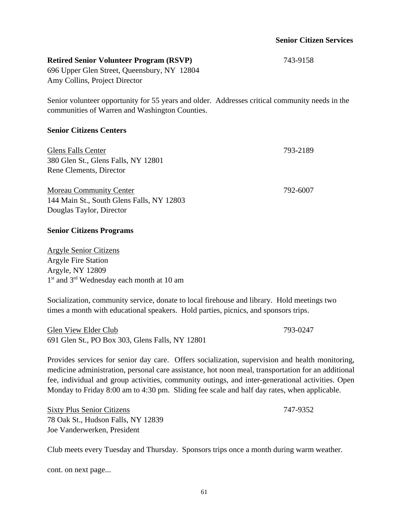#### **Retired Senior Volunteer Program (RSVP)** 743-9158

696 Upper Glen Street, Queensbury, NY 12804 Amy Collins, Project Director

Senior volunteer opportunity for 55 years and older. Addresses critical community needs in the communities of Warren and Washington Counties.

#### **Senior Citizens Centers**

| <b>Glens Falls Center</b>                 | 793-2189 |
|-------------------------------------------|----------|
| 380 Glen St., Glens Falls, NY 12801       |          |
| Rene Clements, Director                   |          |
| <b>Moreau Community Center</b>            | 792-6007 |
| 144 Main St., South Glens Falls, NY 12803 |          |
| Douglas Taylor, Director                  |          |

#### **Senior Citizens Programs**

Argyle Senior Citizens Argyle Fire Station Argyle, NY 12809 1<sup>st</sup> and 3<sup>rd</sup> Wednesday each month at 10 am

Socialization, community service, donate to local firehouse and library. Hold meetings two times a month with educational speakers. Hold parties, picnics, and sponsors trips.

Glen View Elder Club 793-0247 691 Glen St., PO Box 303, Glens Falls, NY 12801

Provides services for senior day care. Offers socialization, supervision and health monitoring, medicine administration, personal care assistance, hot noon meal, transportation for an additional fee, individual and group activities, community outings, and inter-generational activities. Open

Sixty Plus Senior Citizens 747-9352 78 Oak St., Hudson Falls, NY 12839 Joe Vanderwerken, President

Club meets every Tuesday and Thursday. Sponsors trips once a month during warm weather.

cont. on next page...

Monday to Friday 8:00 am to 4:30 pm. Sliding fee scale and half day rates, when applicable.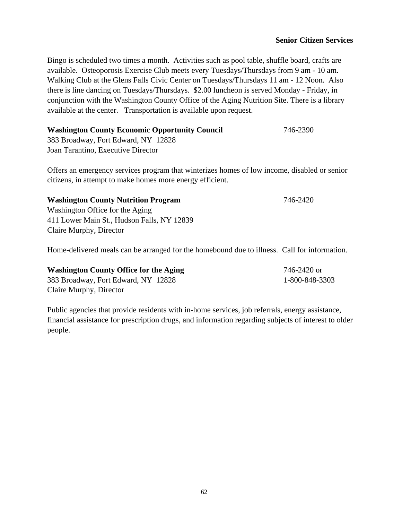Bingo is scheduled two times a month. Activities such as pool table, shuffle board, crafts are available. Osteoporosis Exercise Club meets every Tuesdays/Thursdays from 9 am - 10 am. Walking Club at the Glens Falls Civic Center on Tuesdays/Thursdays 11 am - 12 Noon. Also there is line dancing on Tuesdays/Thursdays. \$2.00 luncheon is served Monday - Friday, in conjunction with the Washington County Office of the Aging Nutrition Site. There is a library available at the center. Transportation is available upon request.

| <b>Washington County Economic Opportunity Council</b> | 746-2390 |
|-------------------------------------------------------|----------|
| 383 Broadway, Fort Edward, NY 12828                   |          |
| Joan Tarantino, Executive Director                    |          |

Offers an emergency services program that winterizes homes of low income, disabled or senior citizens, in attempt to make homes more energy efficient.

| <b>Washington County Nutrition Program</b> | 746-2420 |
|--------------------------------------------|----------|
| Washington Office for the Aging            |          |
| 411 Lower Main St., Hudson Falls, NY 12839 |          |
| Claire Murphy, Director                    |          |

Home-delivered meals can be arranged for the homebound due to illness. Call for information.

| <b>Washington County Office for the Aging</b> | 746-2420 or    |
|-----------------------------------------------|----------------|
| 383 Broadway, Fort Edward, NY 12828           | 1-800-848-3303 |
| Claire Murphy, Director                       |                |

Public agencies that provide residents with in-home services, job referrals, energy assistance, financial assistance for prescription drugs, and information regarding subjects of interest to older people.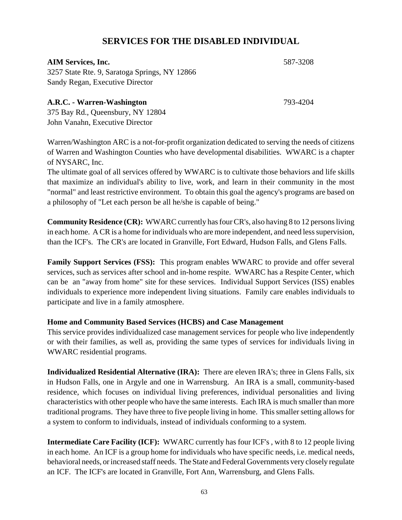# **SERVICES FOR THE DISABLED INDIVIDUAL**

#### **AIM Services, Inc.** 587-3208

3257 State Rte. 9, Saratoga Springs, NY 12866 Sandy Regan, Executive Director

#### **A.R.C. - Warren-Washington** 793-4204

375 Bay Rd., Queensbury, NY 12804 John Vanahn, Executive Director

Warren/Washington ARC is a not-for-profit organization dedicated to serving the needs of citizens of Warren and Washington Counties who have developmental disabilities. WWARC is a chapter of NYSARC, Inc.

The ultimate goal of all services offered by WWARC is to cultivate those behaviors and life skills that maximize an individual's ability to live, work, and learn in their community in the most "normal" and least restrictive environment. To obtain this goal the agency's programs are based on a philosophy of "Let each person be all he/she is capable of being."

**Community Residence (CR):** WWARC currently has four CR's, also having 8 to 12 persons living in each home. A CR is a home for individuals who are more independent, and need less supervision, than the ICF's. The CR's are located in Granville, Fort Edward, Hudson Falls, and Glens Falls.

**Family Support Services (FSS):** This program enables WWARC to provide and offer several services, such as services after school and in-home respite. WWARC has a Respite Center, which can be an "away from home" site for these services. Individual Support Services (ISS) enables individuals to experience more independent living situations. Family care enables individuals to participate and live in a family atmosphere.

#### **Home and Community Based Services (HCBS) and Case Management**

This service provides individualized case management services for people who live independently or with their families, as well as, providing the same types of services for individuals living in WWARC residential programs.

**Individualized Residential Alternative (IRA):** There are eleven IRA's; three in Glens Falls, six in Hudson Falls, one in Argyle and one in Warrensburg. An IRA is a small, community-based residence, which focuses on individual living preferences, individual personalities and living characteristics with other people who have the same interests. Each IRA is much smaller than more traditional programs. They have three to five people living in home. This smaller setting allows for a system to conform to individuals, instead of individuals conforming to a system.

**Intermediate Care Facility (ICF):** WWARC currently has four ICF's , with 8 to 12 people living in each home. An ICF is a group home for individuals who have specific needs, i.e. medical needs, behavioral needs, or increased staff needs. The State and Federal Governments very closely regulate an ICF. The ICF's are located in Granville, Fort Ann, Warrensburg, and Glens Falls.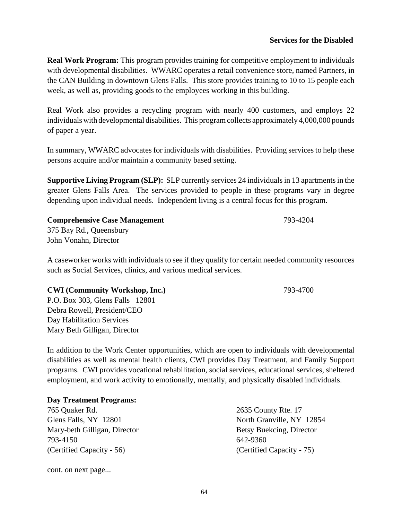#### **Services for the Disabled**

**Real Work Program:** This program provides training for competitive employment to individuals with developmental disabilities. WWARC operates a retail convenience store, named Partners, in the CAN Building in downtown Glens Falls. This store provides training to 10 to 15 people each week, as well as, providing goods to the employees working in this building.

Real Work also provides a recycling program with nearly 400 customers, and employs 22 individuals with developmental disabilities. This program collects approximately 4,000,000 pounds of paper a year.

In summary, WWARC advocates for individuals with disabilities. Providing services to help these persons acquire and/or maintain a community based setting.

**Supportive Living Program (SLP):** SLP currently services 24 individuals in 13 apartments in the greater Glens Falls Area. The services provided to people in these programs vary in degree depending upon individual needs. Independent living is a central focus for this program.

| <b>Comprehensive Case Management</b> | 793-4204 |
|--------------------------------------|----------|
| 375 Bay Rd., Queensbury              |          |
| John Vonahn, Director                |          |

A caseworker works with individuals to see if they qualify for certain needed community resources such as Social Services, clinics, and various medical services.

| <b>CWI</b> (Community Workshop, Inc.) | 793-4700 |
|---------------------------------------|----------|
| P.O. Box 303, Glens Falls 12801       |          |
| Debra Rowell, President/CEO           |          |
| Dove Habilitation Compose             |          |

Day Habilitation Services Mary Beth Gilligan, Director

In addition to the Work Center opportunities, which are open to individuals with developmental disabilities as well as mental health clients, CWI provides Day Treatment, and Family Support programs. CWI provides vocational rehabilitation, social services, educational services, sheltered employment, and work activity to emotionally, mentally, and physically disabled individuals.

#### **Day Treatment Programs:**

765 Quaker Rd. 2635 County Rte. 17 Glens Falls, NY 12801 North Granville, NY 12854 Mary-beth Gilligan, Director Betsy Buekcing, Director 793-4150 642-9360 (Certified Capacity - 56) (Certified Capacity - 75)

cont. on next page...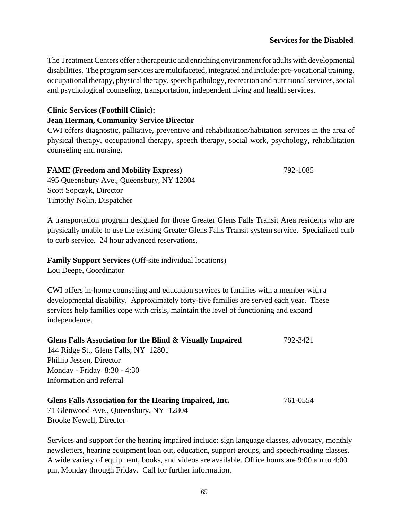#### **Services for the Disabled**

The Treatment Centers offer a therapeutic and enriching environment for adults with developmental disabilities. The program services are multifaceted, integrated and include: pre-vocational training, occupational therapy, physical therapy, speech pathology, recreation and nutritional services, social and psychological counseling, transportation, independent living and health services.

#### **Clinic Services (Foothill Clinic):**

#### **Jean Herman, Community Service Director**

CWI offers diagnostic, palliative, preventive and rehabilitation/habitation services in the area of physical therapy, occupational therapy, speech therapy, social work, psychology, rehabilitation counseling and nursing.

# **FAME (Freedom and Mobility Express)** 792-1085

495 Queensbury Ave., Queensbury, NY 12804 Scott Sopczyk, Director Timothy Nolin, Dispatcher

A transportation program designed for those Greater Glens Falls Transit Area residents who are physically unable to use the existing Greater Glens Falls Transit system service. Specialized curb to curb service. 24 hour advanced reservations.

# **Family Support Services (**Off-site individual locations)

Lou Deepe, Coordinator

CWI offers in-home counseling and education services to families with a member with a developmental disability. Approximately forty-five families are served each year. These services help families cope with crisis, maintain the level of functioning and expand independence.

| Glens Falls Association for the Blind & Visually Impaired | 792-3421 |
|-----------------------------------------------------------|----------|
| 144 Ridge St., Glens Falls, NY 12801                      |          |
| Phillip Jessen, Director                                  |          |
| Monday - Friday 8:30 - 4:30                               |          |
| Information and referral                                  |          |
|                                                           |          |
| Glens Falls Association for the Hearing Impaired, Inc.    | 761-0554 |
| 71 Glenwood Ave., Queensbury, NY 12804                    |          |

Brooke Newell, Director

Services and support for the hearing impaired include: sign language classes, advocacy, monthly newsletters, hearing equipment loan out, education, support groups, and speech/reading classes. A wide variety of equipment, books, and videos are available. Office hours are 9:00 am to 4:00 pm, Monday through Friday. Call for further information.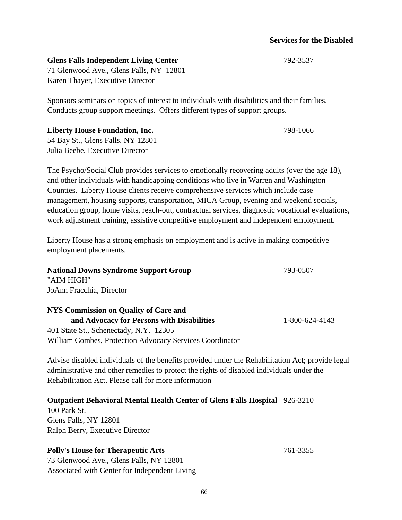**Liberty House Foundation, Inc.** 798-1066

# **Services for the Disabled**

71 Glenwood Ave., Glens Falls, NY 12801 Karen Thayer, Executive Director

Sponsors seminars on topics of interest to individuals with disabilities and their families. Conducts group support meetings. Offers different types of support groups.

**Glens Falls Independent Living Center** 792-3537

54 Bay St., Glens Falls, NY 12801 Julia Beebe, Executive Director

The Psycho/Social Club provides services to emotionally recovering adults (over the age 18), and other individuals with handicapping conditions who live in Warren and Washington Counties. Liberty House clients receive comprehensive services which include case management, housing supports, transportation, MICA Group, evening and weekend socials, education group, home visits, reach-out, contractual services, diagnostic vocational evaluations, work adjustment training, assistive competitive employment and independent employment.

Liberty House has a strong emphasis on employment and is active in making competitive employment placements.

| <b>National Downs Syndrome Support Group</b>             | 793-0507       |
|----------------------------------------------------------|----------------|
| "AIM HIGH"                                               |                |
| JoAnn Fracchia, Director                                 |                |
| <b>NYS Commission on Quality of Care and</b>             |                |
| and Advocacy for Persons with Disabilities               | 1-800-624-4143 |
| 401 State St., Schenectady, N.Y. 12305                   |                |
| William Combes, Protection Advocacy Services Coordinator |                |

Advise disabled individuals of the benefits provided under the Rehabilitation Act; provide legal administrative and other remedies to protect the rights of disabled individuals under the Rehabilitation Act. Please call for more information

#### **Outpatient Behavioral Mental Health Center of Glens Falls Hospital** 926-3210

100 Park St. Glens Falls, NY 12801 Ralph Berry, Executive Director

#### **Polly's House for Therapeutic Arts** 761-3355

73 Glenwood Ave., Glens Falls, NY 12801 Associated with Center for Independent Living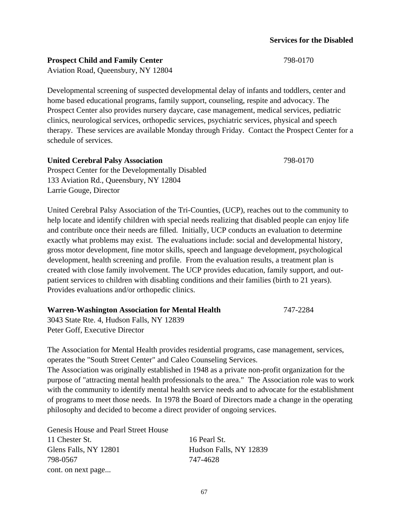**Prospect Child and Family Center** 798-0170 Aviation Road, Queensbury, NY 12804

Developmental screening of suspected developmental delay of infants and toddlers, center and home based educational programs, family support, counseling, respite and advocacy. The Prospect Center also provides nursery daycare, case management, medical services, pediatric clinics, neurological services, orthopedic services, psychiatric services, physical and speech therapy. These services are available Monday through Friday. Contact the Prospect Center for a schedule of services.

#### **United Cerebral Palsy Association** 798-0170

Prospect Center for the Developmentally Disabled 133 Aviation Rd., Queensbury, NY 12804 Larrie Gouge, Director

United Cerebral Palsy Association of the Tri-Counties, (UCP), reaches out to the community to help locate and identify children with special needs realizing that disabled people can enjoy life and contribute once their needs are filled. Initially, UCP conducts an evaluation to determine exactly what problems may exist. The evaluations include: social and developmental history, gross motor development, fine motor skills, speech and language development, psychological development, health screening and profile. From the evaluation results, a treatment plan is created with close family involvement. The UCP provides education, family support, and outpatient services to children with disabling conditions and their families (birth to 21 years). Provides evaluations and/or orthopedic clinics.

| <b>Warren-Washington Association for Mental Health</b> | 747-2284 |
|--------------------------------------------------------|----------|
|--------------------------------------------------------|----------|

3043 State Rte. 4, Hudson Falls, NY 12839 Peter Goff, Executive Director

The Association for Mental Health provides residential programs, case management, services, operates the "South Street Center" and Caleo Counseling Services.

The Association was originally established in 1948 as a private non-profit organization for the purpose of "attracting mental health professionals to the area." The Association role was to work with the community to identify mental health service needs and to advocate for the establishment of programs to meet those needs. In 1978 the Board of Directors made a change in the operating philosophy and decided to become a direct provider of ongoing services.

Genesis House and Pearl Street House

11 Chester St. 16 Pearl St. Glens Falls, NY 12801 Hudson Falls, NY 12839 798-0567 747-4628 cont. on next page...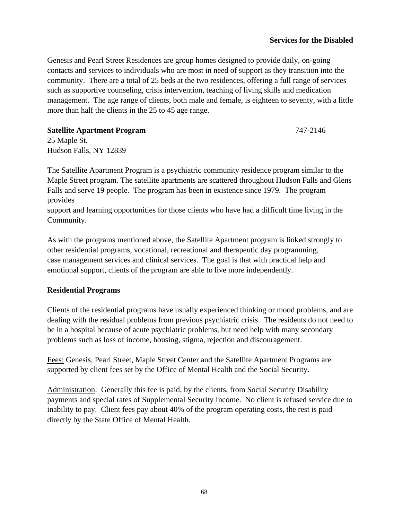Genesis and Pearl Street Residences are group homes designed to provide daily, on-going contacts and services to individuals who are most in need of support as they transition into the community. There are a total of 25 beds at the two residences, offering a full range of services such as supportive counseling, crisis intervention, teaching of living skills and medication management. The age range of clients, both male and female, is eighteen to seventy, with a little more than half the clients in the 25 to 45 age range.

### **Satellite Apartment Program** 747-2146

25 Maple St. Hudson Falls, NY 12839

The Satellite Apartment Program is a psychiatric community residence program similar to the Maple Street program. The satellite apartments are scattered throughout Hudson Falls and Glens Falls and serve 19 people. The program has been in existence since 1979. The program provides

support and learning opportunities for those clients who have had a difficult time living in the Community.

As with the programs mentioned above, the Satellite Apartment program is linked strongly to other residential programs, vocational, recreational and therapeutic day programming, case management services and clinical services. The goal is that with practical help and emotional support, clients of the program are able to live more independently.

### **Residential Programs**

Clients of the residential programs have usually experienced thinking or mood problems, and are dealing with the residual problems from previous psychiatric crisis. The residents do not need to be in a hospital because of acute psychiatric problems, but need help with many secondary problems such as loss of income, housing, stigma, rejection and discouragement.

Fees: Genesis, Pearl Street, Maple Street Center and the Satellite Apartment Programs are supported by client fees set by the Office of Mental Health and the Social Security.

Administration: Generally this fee is paid, by the clients, from Social Security Disability payments and special rates of Supplemental Security Income. No client is refused service due to inability to pay. Client fees pay about 40% of the program operating costs, the rest is paid directly by the State Office of Mental Health.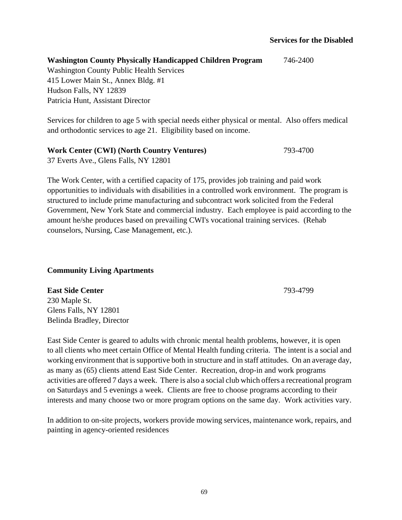**Washington County Physically Handicapped Children Program** 746-2400 Washington County Public Health Services 415 Lower Main St., Annex Bldg. #1 Hudson Falls, NY 12839 Patricia Hunt, Assistant Director

Services for children to age 5 with special needs either physical or mental. Also offers medical and orthodontic services to age 21. Eligibility based on income.

# **Work Center (CWI) (North Country Ventures)** 793-4700

37 Everts Ave., Glens Falls, NY 12801

The Work Center, with a certified capacity of 175, provides job training and paid work opportunities to individuals with disabilities in a controlled work environment. The program is structured to include prime manufacturing and subcontract work solicited from the Federal Government, New York State and commercial industry. Each employee is paid according to the amount he/she produces based on prevailing CWI's vocational training services. (Rehab counselors, Nursing, Case Management, etc.).

# **Community Living Apartments**

**East Side Center** 793-4799 230 Maple St. Glens Falls, NY 12801 Belinda Bradley, Director

East Side Center is geared to adults with chronic mental health problems, however, it is open to all clients who meet certain Office of Mental Health funding criteria. The intent is a social and working environment that is supportive both in structure and in staff attitudes. On an average day, as many as (65) clients attend East Side Center. Recreation, drop-in and work programs activities are offered 7 days a week. There is also a social club which offers a recreational program on Saturdays and 5 evenings a week. Clients are free to choose programs according to their interests and many choose two or more program options on the same day. Work activities vary.

In addition to on-site projects, workers provide mowing services, maintenance work, repairs, and painting in agency-oriented residences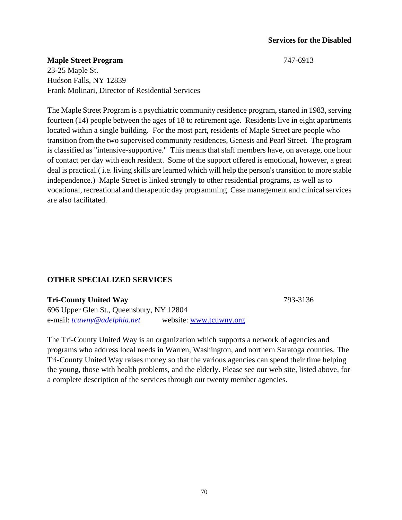# **Services for the Disabled**

# **Maple Street Program** 747-6913

23-25 Maple St. Hudson Falls, NY 12839 Frank Molinari, Director of Residential Services

The Maple Street Program is a psychiatric community residence program, started in 1983, serving fourteen (14) people between the ages of 18 to retirement age. Residents live in eight apartments located within a single building. For the most part, residents of Maple Street are people who transition from the two supervised community residences, Genesis and Pearl Street. The program is classified as "intensive-supportive." This means that staff members have, on average, one hour of contact per day with each resident. Some of the support offered is emotional, however, a great deal is practical.( i.e. living skills are learned which will help the person's transition to more stable independence.) Maple Street is linked strongly to other residential programs, as well as to vocational, recreational and therapeutic day programming. Case management and clinical services are also facilitated.

# **OTHER SPECIALIZED SERVICES**

### **Tri-County United Way** 793-3136

696 Upper Glen St., Queensbury, NY 12804 e-mail: *tcuwny@adelphia.net* website: www.tcuwny.org

The Tri-County United Way is an organization which supports a network of agencies and programs who address local needs in Warren, Washington, and northern Saratoga counties. The Tri-County United Way raises money so that the various agencies can spend their time helping the young, those with health problems, and the elderly. Please see our web site, listed above, for a complete description of the services through our twenty member agencies.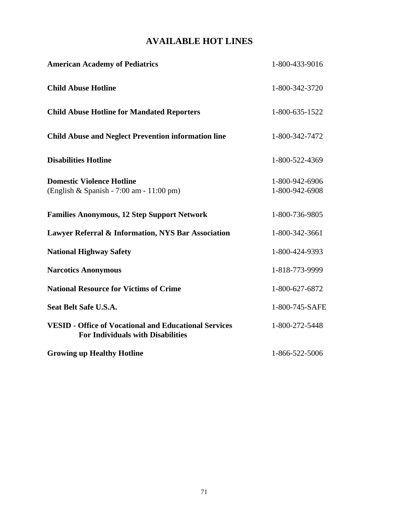# **AVAILABLE HOT LINES**

| <b>American Academy of Pediatrics</b>                                                                    | 1-800-433-9016                   |
|----------------------------------------------------------------------------------------------------------|----------------------------------|
| <b>Child Abuse Hotline</b>                                                                               | 1-800-342-3720                   |
| <b>Child Abuse Hotline for Mandated Reporters</b>                                                        | 1-800-635-1522                   |
| <b>Child Abuse and Neglect Prevention information line</b>                                               | 1-800-342-7472                   |
| <b>Disabilities Hotline</b>                                                                              | 1-800-522-4369                   |
| <b>Domestic Violence Hotline</b><br>(English & Spanish - 7:00 am - 11:00 pm)                             | 1-800-942-6906<br>1-800-942-6908 |
| <b>Families Anonymous, 12 Step Support Network</b>                                                       | 1-800-736-9805                   |
| <b>Lawyer Referral &amp; Information, NYS Bar Association</b>                                            | 1-800-342-3661                   |
| <b>National Highway Safety</b>                                                                           | 1-800-424-9393                   |
| <b>Narcotics Anonymous</b>                                                                               | 1-818-773-9999                   |
| <b>National Resource for Victims of Crime</b>                                                            | 1-800-627-6872                   |
| <b>Seat Belt Safe U.S.A.</b>                                                                             | 1-800-745-SAFE                   |
| <b>VESID - Office of Vocational and Educational Services</b><br><b>For Individuals with Disabilities</b> | 1-800-272-5448                   |
| <b>Growing up Healthy Hotline</b>                                                                        | 1-866-522-5006                   |